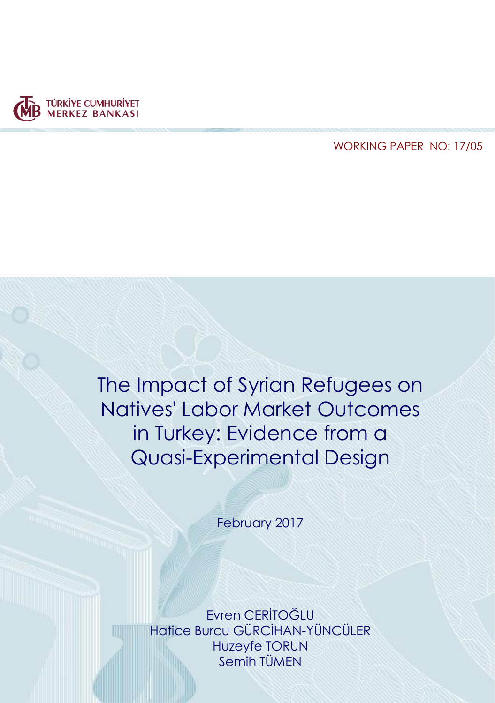

## WORKING PAPER NO: 17/05

The Impact of Syrian Refugees on Natives' Labor Market Outcomes in Turkey: Evidence from a Quasi-Experimental Design

February 2017

Evren CERİTOĞLU Hatice Burcu GÜRCİHAN-YÜNCÜLER Huzeyfe TORUN Semih TÜMEN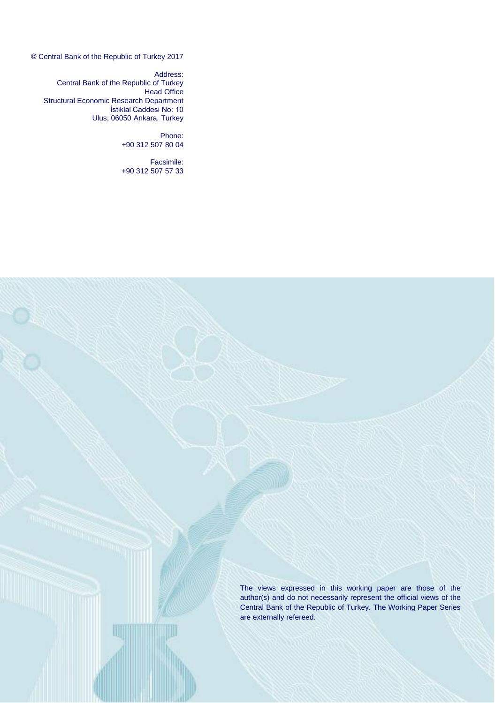© Central Bank of the Republic of Turkey 2017

Address: Central Bank of the Republic of Turkey Head Office Structural Economic Research Department İstiklal Caddesi No: 10 Ulus, 06050 Ankara, Turkey

> Phone: +90 312 507 80 04

> Facsimile: +90 312 507 57 33

> > The views expressed in this working paper are those of the author(s) and do not necessarily represent the official views of the Central Bank of the Republic of Turkey. The Working Paper Series are externally refereed.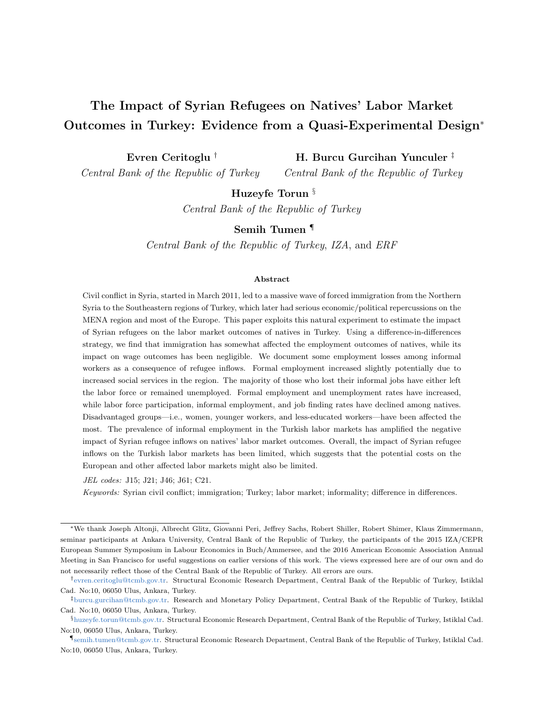## <span id="page-2-0"></span>The Impact of Syrian Refugees on Natives' Labor Market Outcomes in Turkey: Evidence from a Quasi-Experimental Design<sup>∗</sup>

Evren Ceritoglu †

H. Burcu Gurcihan Yunculer ‡

Central Bank of the Republic of Turkey

Central Bank of the Republic of Turkey

Huzeyfe Torun §

Central Bank of the Republic of Turkey

Semih Tumen ¶

Central Bank of the Republic of Turkey, IZA, and ERF

#### Abstract

Civil conflict in Syria, started in March 2011, led to a massive wave of forced immigration from the Northern Syria to the Southeastern regions of Turkey, which later had serious economic/political repercussions on the MENA region and most of the Europe. This paper exploits this natural experiment to estimate the impact of Syrian refugees on the labor market outcomes of natives in Turkey. Using a difference-in-differences strategy, we find that immigration has somewhat affected the employment outcomes of natives, while its impact on wage outcomes has been negligible. We document some employment losses among informal workers as a consequence of refugee inflows. Formal employment increased slightly potentially due to increased social services in the region. The majority of those who lost their informal jobs have either left the labor force or remained unemployed. Formal employment and unemployment rates have increased, while labor force participation, informal employment, and job finding rates have declined among natives. Disadvantaged groups—i.e., women, younger workers, and less-educated workers—have been affected the most. The prevalence of informal employment in the Turkish labor markets has amplified the negative impact of Syrian refugee inflows on natives' labor market outcomes. Overall, the impact of Syrian refugee inflows on the Turkish labor markets has been limited, which suggests that the potential costs on the European and other affected labor markets might also be limited.

JEL codes: J15; J21; J46; J61; C21.

Keywords: Syrian civil conflict; immigration; Turkey; labor market; informality; difference in differences.

<sup>∗</sup>We thank Joseph Altonji, Albrecht Glitz, Giovanni Peri, Jeffrey Sachs, Robert Shiller, Robert Shimer, Klaus Zimmermann, seminar participants at Ankara University, Central Bank of the Republic of Turkey, the participants of the 2015 IZA/CEPR European Summer Symposium in Labour Economics in Buch/Ammersee, and the 2016 American Economic Association Annual Meeting in San Francisco for useful suggestions on earlier versions of this work. The views expressed here are of our own and do not necessarily reflect those of the Central Bank of the Republic of Turkey. All errors are ours.

<sup>†</sup>[evren.ceritoglu@tcmb.gov.tr.](mailto:evren.ceritoglu@tcmb.gov.tr) Structural Economic Research Department, Central Bank of the Republic of Turkey, Istiklal Cad. No:10, 06050 Ulus, Ankara, Turkey.

<sup>‡</sup>[burcu.gurcihan@tcmb.gov.tr.](mailto:burcu.gurcihan@tcmb.gov.tr) Research and Monetary Policy Department, Central Bank of the Republic of Turkey, Istiklal Cad. No:10, 06050 Ulus, Ankara, Turkey.

<sup>§</sup>[huzeyfe.torun@tcmb.gov.tr.](mailto:huzeyfe.torun@tcmb.gov.tr) Structural Economic Research Department, Central Bank of the Republic of Turkey, Istiklal Cad. No:10, 06050 Ulus, Ankara, Turkey.

<sup>¶</sup>[semih.tumen@tcmb.gov.tr.](mailto:semih.tumen@tcmb.gov.tr) Structural Economic Research Department, Central Bank of the Republic of Turkey, Istiklal Cad. No:10, 06050 Ulus, Ankara, Turkey.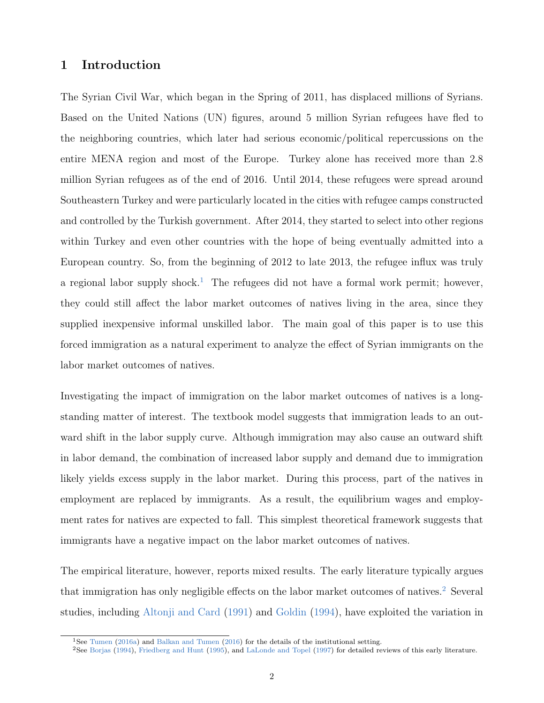#### 1 Introduction

The Syrian Civil War, which began in the Spring of 2011, has displaced millions of Syrians. Based on the United Nations (UN) figures, around 5 million Syrian refugees have fled to the neighboring countries, which later had serious economic/political repercussions on the entire MENA region and most of the Europe. Turkey alone has received more than 2.8 million Syrian refugees as of the end of 2016. Until 2014, these refugees were spread around Southeastern Turkey and were particularly located in the cities with refugee camps constructed and controlled by the Turkish government. After 2014, they started to select into other regions within Turkey and even other countries with the hope of being eventually admitted into a European country. So, from the beginning of 2012 to late 2013, the refugee influx was truly a regional labor supply shock.<sup>[1](#page-2-0)</sup> The refugees did not have a formal work permit; however, they could still affect the labor market outcomes of natives living in the area, since they supplied inexpensive informal unskilled labor. The main goal of this paper is to use this forced immigration as a natural experiment to analyze the effect of Syrian immigrants on the labor market outcomes of natives.

Investigating the impact of immigration on the labor market outcomes of natives is a longstanding matter of interest. The textbook model suggests that immigration leads to an outward shift in the labor supply curve. Although immigration may also cause an outward shift in labor demand, the combination of increased labor supply and demand due to immigration likely yields excess supply in the labor market. During this process, part of the natives in employment are replaced by immigrants. As a result, the equilibrium wages and employment rates for natives are expected to fall. This simplest theoretical framework suggests that immigrants have a negative impact on the labor market outcomes of natives.

The empirical literature, however, reports mixed results. The early literature typically argues that immigration has only negligible effects on the labor market outcomes of natives.<sup>[2](#page-2-0)</sup> Several studies, including [Altonji and Card](#page-33-0) [\(1991\)](#page-33-0) and [Goldin](#page-35-0) [\(1994\)](#page-35-0), have exploited the variation in

<sup>1</sup>See [Tumen](#page-37-0) [\(2016a\)](#page-37-0) and [Balkan and Tumen](#page-33-1) [\(2016\)](#page-33-1) for the details of the institutional setting.

<sup>2</sup>See [Borjas](#page-34-0) [\(1994\)](#page-34-0), [Friedberg and Hunt](#page-35-1) [\(1995\)](#page-35-1), and [LaLonde and Topel](#page-36-0) [\(1997\)](#page-36-0) for detailed reviews of this early literature.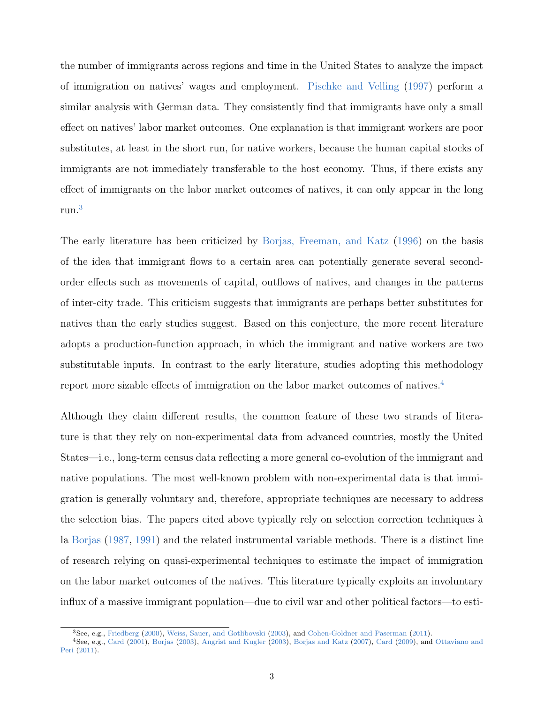the number of immigrants across regions and time in the United States to analyze the impact of immigration on natives' wages and employment. [Pischke and Velling](#page-36-1) [\(1997\)](#page-36-1) perform a similar analysis with German data. They consistently find that immigrants have only a small effect on natives' labor market outcomes. One explanation is that immigrant workers are poor substitutes, at least in the short run, for native workers, because the human capital stocks of immigrants are not immediately transferable to the host economy. Thus, if there exists any effect of immigrants on the labor market outcomes of natives, it can only appear in the long run.[3](#page-2-0)

The early literature has been criticized by [Borjas, Freeman, and Katz](#page-34-1) [\(1996\)](#page-34-1) on the basis of the idea that immigrant flows to a certain area can potentially generate several secondorder effects such as movements of capital, outflows of natives, and changes in the patterns of inter-city trade. This criticism suggests that immigrants are perhaps better substitutes for natives than the early studies suggest. Based on this conjecture, the more recent literature adopts a production-function approach, in which the immigrant and native workers are two substitutable inputs. In contrast to the early literature, studies adopting this methodology report more sizable effects of immigration on the labor market outcomes of natives.[4](#page-2-0)

Although they claim different results, the common feature of these two strands of literature is that they rely on non-experimental data from advanced countries, mostly the United States—i.e., long-term census data reflecting a more general co-evolution of the immigrant and native populations. The most well-known problem with non-experimental data is that immigration is generally voluntary and, therefore, appropriate techniques are necessary to address the selection bias. The papers cited above typically rely on selection correction techniques à la [Borjas](#page-33-2) [\(1987,](#page-33-2) [1991\)](#page-34-2) and the related instrumental variable methods. There is a distinct line of research relying on quasi-experimental techniques to estimate the impact of immigration on the labor market outcomes of the natives. This literature typically exploits an involuntary influx of a massive immigrant population—due to civil war and other political factors—to esti-

<sup>3</sup>See, e.g., [Friedberg](#page-35-2) [\(2000\)](#page-35-2), [Weiss, Sauer, and Gotlibovski](#page-37-1) [\(2003\)](#page-37-1), and [Cohen-Goldner and Paserman](#page-35-3) [\(2011\)](#page-35-3).

<sup>4</sup>See, e.g., [Card](#page-34-3) [\(2001\)](#page-34-3), [Borjas](#page-34-4) [\(2003\)](#page-34-4), [Angrist and Kugler](#page-33-3) [\(2003\)](#page-33-3), [Borjas and Katz](#page-34-5) [\(2007\)](#page-34-5), [Card](#page-34-6) [\(2009\)](#page-34-6), and [Ottaviano and](#page-36-2) [Peri](#page-36-2) [\(2011\)](#page-36-2).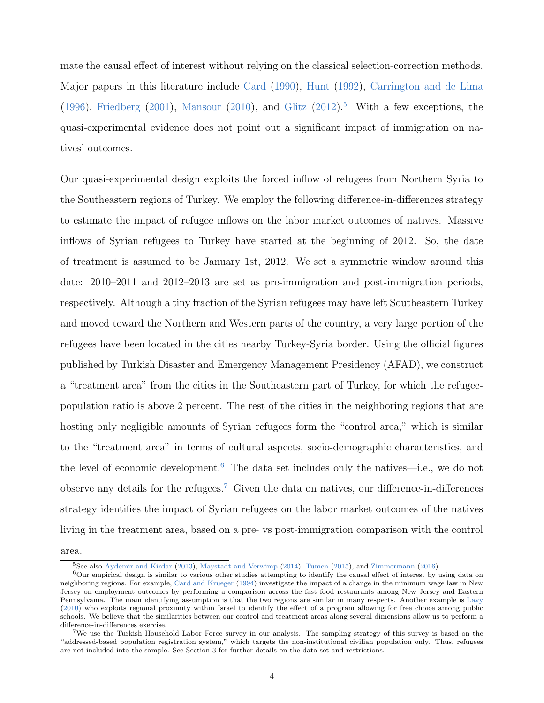mate the causal effect of interest without relying on the classical selection-correction methods. Major papers in this literature include [Card](#page-34-7) [\(1990\)](#page-34-7), [Hunt](#page-36-3) [\(1992\)](#page-36-3), [Carrington and de Lima](#page-34-8) [\(1996\)](#page-34-8), [Friedberg](#page-35-4) [\(2001\)](#page-35-4), [Mansour](#page-36-4) [\(2010\)](#page-36-4), and [Glitz](#page-35-5) [\(2012\)](#page-35-5).<sup>[5](#page-2-0)</sup> With a few exceptions, the quasi-experimental evidence does not point out a significant impact of immigration on natives' outcomes.

Our quasi-experimental design exploits the forced inflow of refugees from Northern Syria to the Southeastern regions of Turkey. We employ the following difference-in-differences strategy to estimate the impact of refugee inflows on the labor market outcomes of natives. Massive inflows of Syrian refugees to Turkey have started at the beginning of 2012. So, the date of treatment is assumed to be January 1st, 2012. We set a symmetric window around this date: 2010–2011 and 2012–2013 are set as pre-immigration and post-immigration periods, respectively. Although a tiny fraction of the Syrian refugees may have left Southeastern Turkey and moved toward the Northern and Western parts of the country, a very large portion of the refugees have been located in the cities nearby Turkey-Syria border. Using the official figures published by Turkish Disaster and Emergency Management Presidency (AFAD), we construct a "treatment area" from the cities in the Southeastern part of Turkey, for which the refugeepopulation ratio is above 2 percent. The rest of the cities in the neighboring regions that are hosting only negligible amounts of Syrian refugees form the "control area," which is similar to the "treatment area" in terms of cultural aspects, socio-demographic characteristics, and the level of economic development.<sup>[6](#page-2-0)</sup> The data set includes only the natives—i.e., we do not observe any details for the refugees.[7](#page-2-0) Given the data on natives, our difference-in-differences strategy identifies the impact of Syrian refugees on the labor market outcomes of the natives living in the treatment area, based on a pre- vs post-immigration comparison with the control

area.

<sup>5</sup>See also [Aydemir and Kirdar](#page-33-4) [\(2013\)](#page-33-4), [Maystadt and Verwimp](#page-36-5) [\(2014\)](#page-36-5), [Tumen](#page-36-6) [\(2015\)](#page-36-6), and [Zimmermann](#page-37-2) [\(2016\)](#page-37-2).

 $6$ Our empirical design is similar to various other studies attempting to identify the causal effect of interest by using data on neighboring regions. For example, [Card and Krueger](#page-34-9) [\(1994\)](#page-34-9) investigate the impact of a change in the minimum wage law in New Jersey on employment outcomes by performing a comparison across the fast food restaurants among New Jersey and Eastern Pennsylvania. The main identifying assumption is that the two regions are similar in many respects. Another example is [Lavy](#page-36-7) [\(2010\)](#page-36-7) who exploits regional proximity within Israel to identify the effect of a program allowing for free choice among public schools. We believe that the similarities between our control and treatment areas along several dimensions allow us to perform a difference-in-differences exercise.

<sup>7</sup>We use the Turkish Household Labor Force survey in our analysis. The sampling strategy of this survey is based on the "addressed-based population registration system," which targets the non-institutional civilian population only. Thus, refugees are not included into the sample. See Section 3 for further details on the data set and restrictions.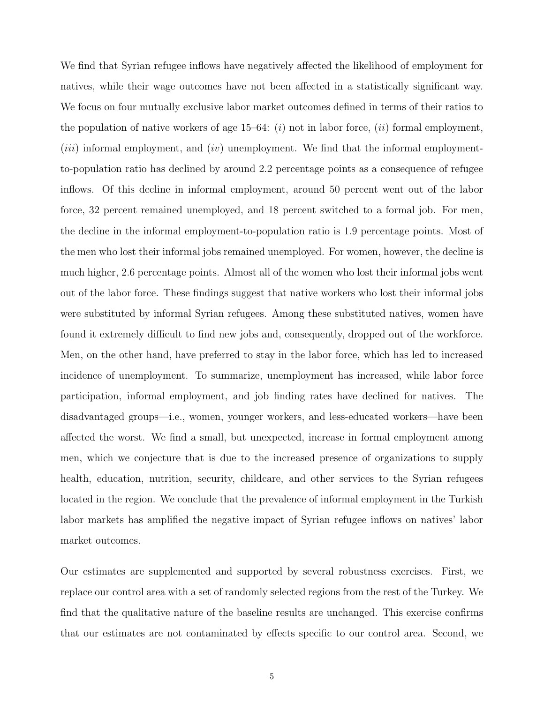We find that Syrian refugee inflows have negatively affected the likelihood of employment for natives, while their wage outcomes have not been affected in a statistically significant way. We focus on four mutually exclusive labor market outcomes defined in terms of their ratios to the population of native workers of age  $15-64$ : (i) not in labor force, (ii) formal employment,  $(iii)$  informal employment, and  $(iv)$  unemployment. We find that the informal employmentto-population ratio has declined by around 2.2 percentage points as a consequence of refugee inflows. Of this decline in informal employment, around 50 percent went out of the labor force, 32 percent remained unemployed, and 18 percent switched to a formal job. For men, the decline in the informal employment-to-population ratio is 1.9 percentage points. Most of the men who lost their informal jobs remained unemployed. For women, however, the decline is much higher, 2.6 percentage points. Almost all of the women who lost their informal jobs went out of the labor force. These findings suggest that native workers who lost their informal jobs were substituted by informal Syrian refugees. Among these substituted natives, women have found it extremely difficult to find new jobs and, consequently, dropped out of the workforce. Men, on the other hand, have preferred to stay in the labor force, which has led to increased incidence of unemployment. To summarize, unemployment has increased, while labor force participation, informal employment, and job finding rates have declined for natives. The disadvantaged groups—i.e., women, younger workers, and less-educated workers—have been affected the worst. We find a small, but unexpected, increase in formal employment among men, which we conjecture that is due to the increased presence of organizations to supply health, education, nutrition, security, childcare, and other services to the Syrian refugees located in the region. We conclude that the prevalence of informal employment in the Turkish labor markets has amplified the negative impact of Syrian refugee inflows on natives' labor market outcomes.

Our estimates are supplemented and supported by several robustness exercises. First, we replace our control area with a set of randomly selected regions from the rest of the Turkey. We find that the qualitative nature of the baseline results are unchanged. This exercise confirms that our estimates are not contaminated by effects specific to our control area. Second, we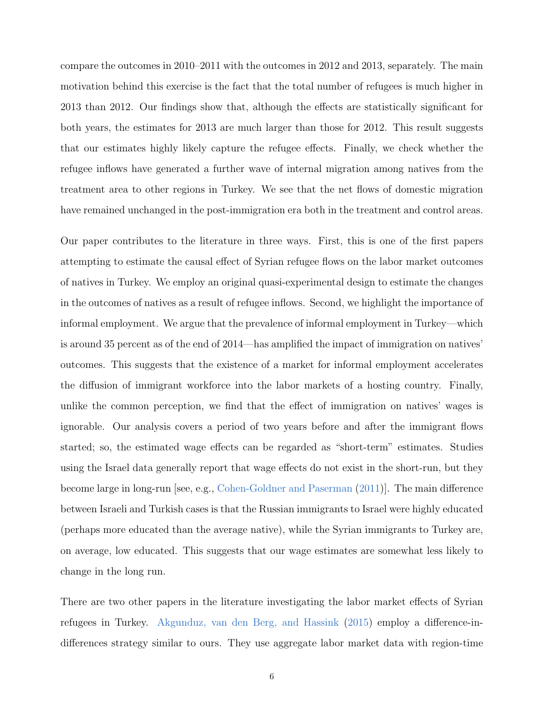compare the outcomes in 2010–2011 with the outcomes in 2012 and 2013, separately. The main motivation behind this exercise is the fact that the total number of refugees is much higher in 2013 than 2012. Our findings show that, although the effects are statistically significant for both years, the estimates for 2013 are much larger than those for 2012. This result suggests that our estimates highly likely capture the refugee effects. Finally, we check whether the refugee inflows have generated a further wave of internal migration among natives from the treatment area to other regions in Turkey. We see that the net flows of domestic migration have remained unchanged in the post-immigration era both in the treatment and control areas.

Our paper contributes to the literature in three ways. First, this is one of the first papers attempting to estimate the causal effect of Syrian refugee flows on the labor market outcomes of natives in Turkey. We employ an original quasi-experimental design to estimate the changes in the outcomes of natives as a result of refugee inflows. Second, we highlight the importance of informal employment. We argue that the prevalence of informal employment in Turkey—which is around 35 percent as of the end of 2014—has amplified the impact of immigration on natives' outcomes. This suggests that the existence of a market for informal employment accelerates the diffusion of immigrant workforce into the labor markets of a hosting country. Finally, unlike the common perception, we find that the effect of immigration on natives' wages is ignorable. Our analysis covers a period of two years before and after the immigrant flows started; so, the estimated wage effects can be regarded as "short-term" estimates. Studies using the Israel data generally report that wage effects do not exist in the short-run, but they become large in long-run [see, e.g., [Cohen-Goldner and Paserman](#page-35-3) [\(2011\)](#page-35-3)]. The main difference between Israeli and Turkish cases is that the Russian immigrants to Israel were highly educated (perhaps more educated than the average native), while the Syrian immigrants to Turkey are, on average, low educated. This suggests that our wage estimates are somewhat less likely to change in the long run.

There are two other papers in the literature investigating the labor market effects of Syrian refugees in Turkey. [Akgunduz, van den Berg, and Hassink](#page-33-5) [\(2015\)](#page-33-5) employ a difference-indifferences strategy similar to ours. They use aggregate labor market data with region-time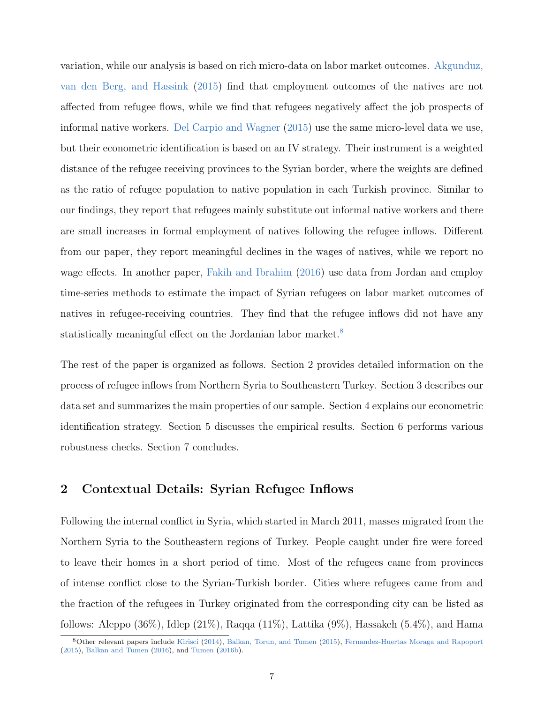variation, while our analysis is based on rich micro-data on labor market outcomes. [Akgunduz,](#page-33-5) [van den Berg, and Hassink](#page-33-5) [\(2015\)](#page-33-5) find that employment outcomes of the natives are not affected from refugee flows, while we find that refugees negatively affect the job prospects of informal native workers. [Del Carpio and Wagner](#page-35-6) [\(2015\)](#page-35-6) use the same micro-level data we use, but their econometric identification is based on an IV strategy. Their instrument is a weighted distance of the refugee receiving provinces to the Syrian border, where the weights are defined as the ratio of refugee population to native population in each Turkish province. Similar to our findings, they report that refugees mainly substitute out informal native workers and there are small increases in formal employment of natives following the refugee inflows. Different from our paper, they report meaningful declines in the wages of natives, while we report no wage effects. In another paper, [Fakih and Ibrahim](#page-35-7) [\(2016\)](#page-35-7) use data from Jordan and employ time-series methods to estimate the impact of Syrian refugees on labor market outcomes of natives in refugee-receiving countries. They find that the refugee inflows did not have any statistically meaningful effect on the Jordanian labor market.<sup>[8](#page-2-0)</sup>

The rest of the paper is organized as follows. Section 2 provides detailed information on the process of refugee inflows from Northern Syria to Southeastern Turkey. Section 3 describes our data set and summarizes the main properties of our sample. Section 4 explains our econometric identification strategy. Section 5 discusses the empirical results. Section 6 performs various robustness checks. Section 7 concludes.

#### 2 Contextual Details: Syrian Refugee Inflows

Following the internal conflict in Syria, which started in March 2011, masses migrated from the Northern Syria to the Southeastern regions of Turkey. People caught under fire were forced to leave their homes in a short period of time. Most of the refugees came from provinces of intense conflict close to the Syrian-Turkish border. Cities where refugees came from and the fraction of the refugees in Turkey originated from the corresponding city can be listed as follows: Aleppo (36%), Idlep (21%), Raqqa (11%), Lattika (9%), Hassakeh (5.4%), and Hama

<sup>8</sup>Other relevant papers include [Kirisci](#page-36-8) [\(2014\)](#page-36-8), [Balkan, Torun, and Tumen](#page-33-6) [\(2015\)](#page-33-6), [Fernandez-Huertas Moraga and Rapoport](#page-35-8) [\(2015\)](#page-35-8), [Balkan and Tumen](#page-33-1) [\(2016\)](#page-33-1), and [Tumen](#page-37-3) [\(2016b\)](#page-37-3).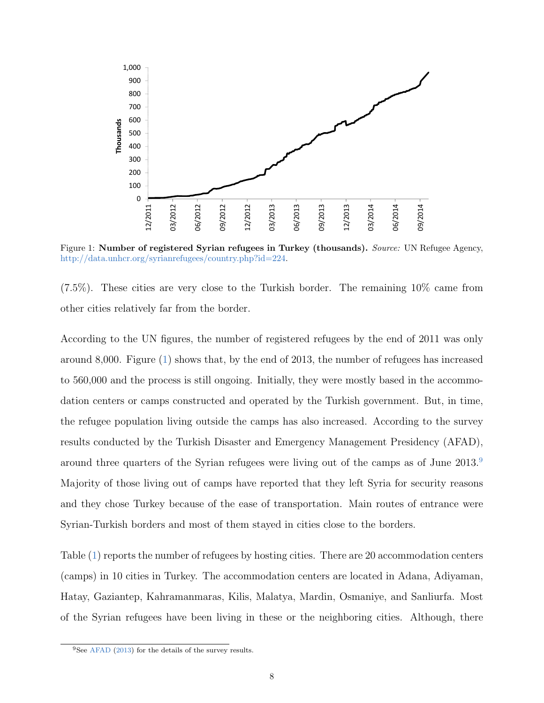<span id="page-9-0"></span>

Figure 1: Number of registered Syrian refugees in Turkey (thousands). Source: UN Refugee Agency, [http://data.unhcr.org/syrianrefugees/country.php?id=224.](http://data.unhcr.org/syrianrefugees/country.php?id=224)

(7.5%). These cities are very close to the Turkish border. The remaining 10% came from other cities relatively far from the border.

According to the UN figures, the number of registered refugees by the end of 2011 was only around 8,000. Figure [\(1\)](#page-9-0) shows that, by the end of 2013, the number of refugees has increased to 560,000 and the process is still ongoing. Initially, they were mostly based in the accommodation centers or camps constructed and operated by the Turkish government. But, in time, the refugee population living outside the camps has also increased. According to the survey results conducted by the Turkish Disaster and Emergency Management Presidency (AFAD), around three quarters of the Syrian refugees were living out of the camps as of June  $2013<sup>9</sup>$  $2013<sup>9</sup>$  $2013<sup>9</sup>$ Majority of those living out of camps have reported that they left Syria for security reasons and they chose Turkey because of the ease of transportation. Main routes of entrance were Syrian-Turkish borders and most of them stayed in cities close to the borders.

Table [\(1\)](#page-10-0) reports the number of refugees by hosting cities. There are 20 accommodation centers (camps) in 10 cities in Turkey. The accommodation centers are located in Adana, Adiyaman, Hatay, Gaziantep, Kahramanmaras, Kilis, Malatya, Mardin, Osmaniye, and Sanliurfa. Most of the Syrian refugees have been living in these or the neighboring cities. Although, there

 $9$ See [AFAD](#page-33-7) [\(2013\)](#page-33-7) for the details of the survey results.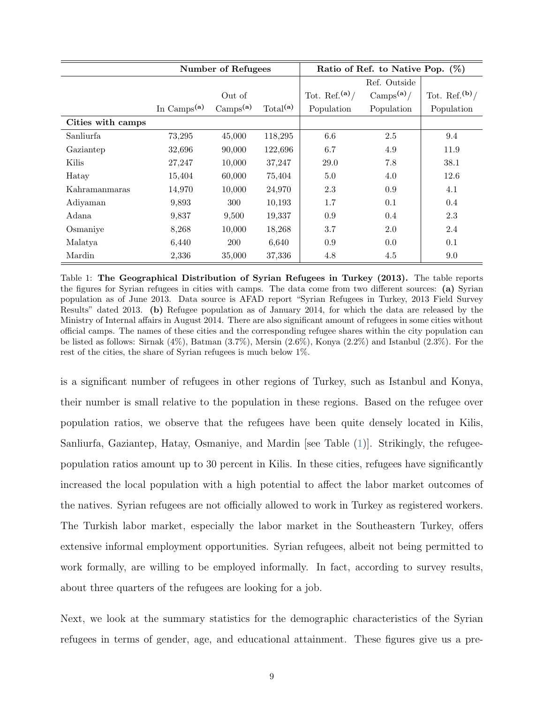<span id="page-10-0"></span>

|                   |                                      | <b>Number of Refugees</b>                |                      | Ratio of Ref. to Native Pop. $(\%)$ |                                |                   |  |
|-------------------|--------------------------------------|------------------------------------------|----------------------|-------------------------------------|--------------------------------|-------------------|--|
|                   |                                      |                                          |                      |                                     | Ref. Outside                   |                   |  |
|                   |                                      | Out of                                   |                      | Tot. Ref. <sup>(a)</sup> /          | $\text{Camps}^{(\mathbf{a})}/$ | Tot. Ref. $(b)$ / |  |
|                   | In Camps <sup><math>(a)</math></sup> | $\text{Camps}^{\left(\mathbf{a}\right)}$ | Total <sup>(a)</sup> | Population                          | Population                     | Population        |  |
| Cities with camps |                                      |                                          |                      |                                     |                                |                   |  |
| Sanliurfa         | 73,295                               | 45,000                                   | 118,295              | 6.6                                 | 2.5                            | 9.4               |  |
| Gaziantep         | 32,696                               | 90,000                                   | 122,696              | 6.7                                 | 4.9                            | 11.9              |  |
| Kilis             | 27,247                               | 10,000                                   | 37,247               | 29.0                                | 7.8                            | 38.1              |  |
| Hatay             | 15,404                               | 60,000                                   | 75,404               | 5.0                                 | 4.0                            | 12.6              |  |
| Kahramanmaras     | 14,970                               | 10,000                                   | 24,970               | 2.3                                 | 0.9                            | 4.1               |  |
| Adiyaman          | 9,893                                | 300                                      | 10,193               | 1.7                                 | 0.1                            | 0.4               |  |
| Adana             | 9,837                                | 9,500                                    | 19,337               | 0.9                                 | 0.4                            | 2.3               |  |
| Osmaniye          | 8,268                                | 10,000                                   | 18,268               | 3.7                                 | 2.0                            | 2.4               |  |
| Malatya           | 6,440                                | 200                                      | 6,640                | 0.9                                 | 0.0                            | 0.1               |  |
| Mardin            | 2,336                                | 35,000                                   | 37,336               | 4.8                                 | 4.5                            | 9.0               |  |

Table 1: The Geographical Distribution of Syrian Refugees in Turkey (2013). The table reports the figures for Syrian refugees in cities with camps. The data come from two different sources: (a) Syrian population as of June 2013. Data source is AFAD report "Syrian Refugees in Turkey, 2013 Field Survey Results" dated 2013. (b) Refugee population as of January 2014, for which the data are released by the Ministry of Internal affairs in August 2014. There are also significant amount of refugees in some cities without official camps. The names of these cities and the corresponding refugee shares within the city population can be listed as follows: Sirnak (4%), Batman (3.7%), Mersin (2.6%), Konya (2.2%) and Istanbul (2.3%). For the rest of the cities, the share of Syrian refugees is much below 1%.

is a significant number of refugees in other regions of Turkey, such as Istanbul and Konya, their number is small relative to the population in these regions. Based on the refugee over population ratios, we observe that the refugees have been quite densely located in Kilis, Sanliurfa, Gaziantep, Hatay, Osmaniye, and Mardin [see Table [\(1\)](#page-10-0)]. Strikingly, the refugeepopulation ratios amount up to 30 percent in Kilis. In these cities, refugees have significantly increased the local population with a high potential to affect the labor market outcomes of the natives. Syrian refugees are not officially allowed to work in Turkey as registered workers. The Turkish labor market, especially the labor market in the Southeastern Turkey, offers extensive informal employment opportunities. Syrian refugees, albeit not being permitted to work formally, are willing to be employed informally. In fact, according to survey results, about three quarters of the refugees are looking for a job.

Next, we look at the summary statistics for the demographic characteristics of the Syrian refugees in terms of gender, age, and educational attainment. These figures give us a pre-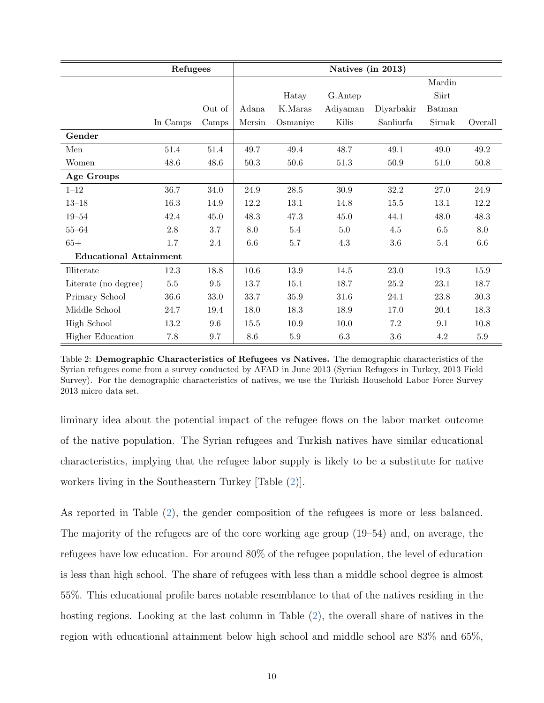<span id="page-11-0"></span>

|                               | Refugees |          |          |          | Natives (in 2013) |            |         |          |
|-------------------------------|----------|----------|----------|----------|-------------------|------------|---------|----------|
|                               |          |          |          |          |                   |            | Mardin  |          |
|                               |          |          |          | Hatay    | G.Antep           |            | Siirt   |          |
|                               |          | Out of   | Adana    | K.Maras  | Adiyaman          | Diyarbakir | Batman  |          |
|                               | In Camps | Camps    | Mersin   | Osmaniye | Kilis             | Sanliurfa  | Sirnak  | Overall  |
| Gender                        |          |          |          |          |                   |            |         |          |
| Men                           | 51.4     | $51.4\,$ | 49.7     | 49.4     | 48.7              | 49.1       | 49.0    | $49.2\,$ |
| Women                         | 48.6     | 48.6     | $50.3\,$ | 50.6     | 51.3              | 50.9       | 51.0    | 50.8     |
| Age Groups                    |          |          |          |          |                   |            |         |          |
| $1 - 12$                      | 36.7     | $34.0\,$ | $24.9\,$ | $28.5\,$ | 30.9              | 32.2       | 27.0    | $24.9\,$ |
| $13 - 18$                     | 16.3     | 14.9     | 12.2     | 13.1     | 14.8              | 15.5       | 13.1    | 12.2     |
| $19 - 54$                     | 42.4     | 45.0     | 48.3     | 47.3     | 45.0              | 44.1       | 48.0    | 48.3     |
| $55 - 64$                     | 2.8      | 3.7      | 8.0      | $5.4\,$  | 5.0               | 4.5        | $6.5\,$ | $8.0\,$  |
| $65+$                         | 1.7      | 2.4      | $6.6\,$  | $5.7\,$  | $4.3\,$           | $3.6\,$    | $5.4\,$ | $6.6\,$  |
| <b>Educational Attainment</b> |          |          |          |          |                   |            |         |          |
| Illiterate                    | 12.3     | 18.8     | 10.6     | $13.9\,$ | 14.5              | $23.0\,$   | 19.3    | 15.9     |
| Literate (no degree)          | $5.5\,$  | $\,9.5$  | 13.7     | 15.1     | 18.7              | 25.2       | 23.1    | 18.7     |
| Primary School                | 36.6     | 33.0     | 33.7     | 35.9     | 31.6              | 24.1       | 23.8    | $30.3\,$ |
| Middle School                 | 24.7     | 19.4     | 18.0     | 18.3     | 18.9              | 17.0       | 20.4    | 18.3     |
| High School                   | 13.2     | 9.6      | 15.5     | 10.9     | $10.0\,$          | 7.2        | 9.1     | 10.8     |
| <b>Higher Education</b>       | 7.8      | $9.7\,$  | 8.6      | $5.9\,$  | $6.3\,$           | $3.6\,$    | 4.2     | $5.9\,$  |

Table 2: Demographic Characteristics of Refugees vs Natives. The demographic characteristics of the Syrian refugees come from a survey conducted by AFAD in June 2013 (Syrian Refugees in Turkey, 2013 Field Survey). For the demographic characteristics of natives, we use the Turkish Household Labor Force Survey 2013 micro data set.

liminary idea about the potential impact of the refugee flows on the labor market outcome of the native population. The Syrian refugees and Turkish natives have similar educational characteristics, implying that the refugee labor supply is likely to be a substitute for native workers living in the Southeastern Turkey [Table [\(2\)](#page-11-0)].

As reported in Table [\(2\)](#page-11-0), the gender composition of the refugees is more or less balanced. The majority of the refugees are of the core working age group (19–54) and, on average, the refugees have low education. For around 80% of the refugee population, the level of education is less than high school. The share of refugees with less than a middle school degree is almost 55%. This educational profile bares notable resemblance to that of the natives residing in the hosting regions. Looking at the last column in Table [\(2\)](#page-11-0), the overall share of natives in the region with educational attainment below high school and middle school are 83% and 65%,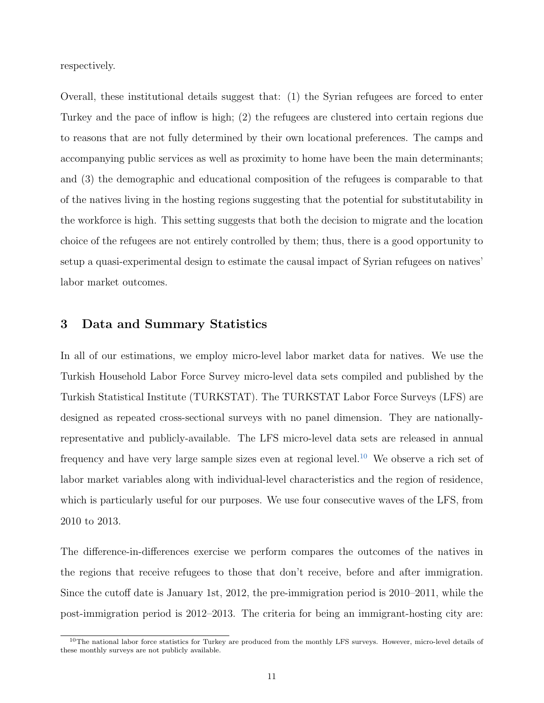respectively.

Overall, these institutional details suggest that: (1) the Syrian refugees are forced to enter Turkey and the pace of inflow is high; (2) the refugees are clustered into certain regions due to reasons that are not fully determined by their own locational preferences. The camps and accompanying public services as well as proximity to home have been the main determinants; and (3) the demographic and educational composition of the refugees is comparable to that of the natives living in the hosting regions suggesting that the potential for substitutability in the workforce is high. This setting suggests that both the decision to migrate and the location choice of the refugees are not entirely controlled by them; thus, there is a good opportunity to setup a quasi-experimental design to estimate the causal impact of Syrian refugees on natives' labor market outcomes.

#### 3 Data and Summary Statistics

In all of our estimations, we employ micro-level labor market data for natives. We use the Turkish Household Labor Force Survey micro-level data sets compiled and published by the Turkish Statistical Institute (TURKSTAT). The TURKSTAT Labor Force Surveys (LFS) are designed as repeated cross-sectional surveys with no panel dimension. They are nationallyrepresentative and publicly-available. The LFS micro-level data sets are released in annual frequency and have very large sample sizes even at regional level.<sup>[10](#page-2-0)</sup> We observe a rich set of labor market variables along with individual-level characteristics and the region of residence, which is particularly useful for our purposes. We use four consecutive waves of the LFS, from 2010 to 2013.

The difference-in-differences exercise we perform compares the outcomes of the natives in the regions that receive refugees to those that don't receive, before and after immigration. Since the cutoff date is January 1st, 2012, the pre-immigration period is 2010–2011, while the post-immigration period is 2012–2013. The criteria for being an immigrant-hosting city are:

 $10$ The national labor force statistics for Turkey are produced from the monthly LFS surveys. However, micro-level details of these monthly surveys are not publicly available.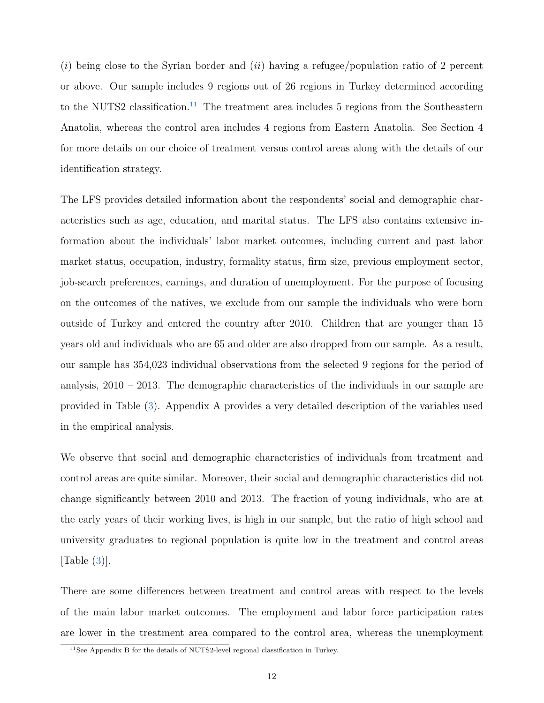(i) being close to the Syrian border and  $(ii)$  having a refugee/population ratio of 2 percent or above. Our sample includes 9 regions out of 26 regions in Turkey determined according to the NUTS2 classification.<sup>[11](#page-2-0)</sup> The treatment area includes 5 regions from the Southeastern Anatolia, whereas the control area includes 4 regions from Eastern Anatolia. See Section 4 for more details on our choice of treatment versus control areas along with the details of our identification strategy.

The LFS provides detailed information about the respondents' social and demographic characteristics such as age, education, and marital status. The LFS also contains extensive information about the individuals' labor market outcomes, including current and past labor market status, occupation, industry, formality status, firm size, previous employment sector, job-search preferences, earnings, and duration of unemployment. For the purpose of focusing on the outcomes of the natives, we exclude from our sample the individuals who were born outside of Turkey and entered the country after 2010. Children that are younger than 15 years old and individuals who are 65 and older are also dropped from our sample. As a result, our sample has 354,023 individual observations from the selected 9 regions for the period of analysis, 2010 – 2013. The demographic characteristics of the individuals in our sample are provided in Table [\(3\)](#page-38-0). Appendix A provides a very detailed description of the variables used in the empirical analysis.

We observe that social and demographic characteristics of individuals from treatment and control areas are quite similar. Moreover, their social and demographic characteristics did not change significantly between 2010 and 2013. The fraction of young individuals, who are at the early years of their working lives, is high in our sample, but the ratio of high school and university graduates to regional population is quite low in the treatment and control areas [Table [\(3\)](#page-38-0)].

There are some differences between treatment and control areas with respect to the levels of the main labor market outcomes. The employment and labor force participation rates are lower in the treatment area compared to the control area, whereas the unemployment

<sup>&</sup>lt;sup>11</sup>See Appendix B for the details of NUTS2-level regional classification in Turkey.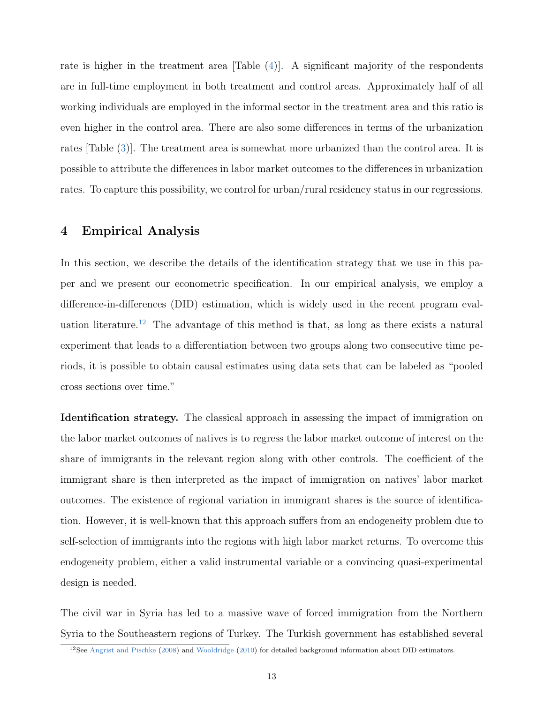rate is higher in the treatment area [Table [\(4\)](#page-39-0)]. A significant majority of the respondents are in full-time employment in both treatment and control areas. Approximately half of all working individuals are employed in the informal sector in the treatment area and this ratio is even higher in the control area. There are also some differences in terms of the urbanization rates [Table [\(3\)](#page-38-0)]. The treatment area is somewhat more urbanized than the control area. It is possible to attribute the differences in labor market outcomes to the differences in urbanization rates. To capture this possibility, we control for urban/rural residency status in our regressions.

#### 4 Empirical Analysis

In this section, we describe the details of the identification strategy that we use in this paper and we present our econometric specification. In our empirical analysis, we employ a difference-in-differences (DID) estimation, which is widely used in the recent program eval-uation literature.<sup>[12](#page-2-0)</sup> The advantage of this method is that, as long as there exists a natural experiment that leads to a differentiation between two groups along two consecutive time periods, it is possible to obtain causal estimates using data sets that can be labeled as "pooled cross sections over time."

Identification strategy. The classical approach in assessing the impact of immigration on the labor market outcomes of natives is to regress the labor market outcome of interest on the share of immigrants in the relevant region along with other controls. The coefficient of the immigrant share is then interpreted as the impact of immigration on natives' labor market outcomes. The existence of regional variation in immigrant shares is the source of identification. However, it is well-known that this approach suffers from an endogeneity problem due to self-selection of immigrants into the regions with high labor market returns. To overcome this endogeneity problem, either a valid instrumental variable or a convincing quasi-experimental design is needed.

The civil war in Syria has led to a massive wave of forced immigration from the Northern Syria to the Southeastern regions of Turkey. The Turkish government has established several

<sup>&</sup>lt;sup>12</sup>See [Angrist and Pischke](#page-33-8) [\(2008\)](#page-33-8) and [Wooldridge](#page-37-4) [\(2010\)](#page-37-4) for detailed background information about DID estimators.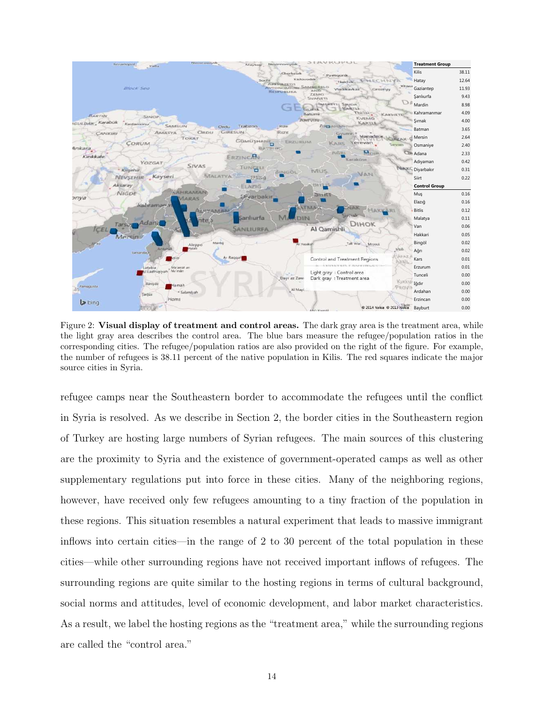<span id="page-15-0"></span>

Figure 2: Visual display of treatment and control areas. The dark gray area is the treatment area, while the light gray area describes the control area. The blue bars measure the refugee/population ratios in the corresponding cities. The refugee/population ratios are also provided on the right of the figure. For example, the number of refugees is 38.11 percent of the native population in Kilis. The red squares indicate the major source cities in Syria.

refugee camps near the Southeastern border to accommodate the refugees until the conflict in Syria is resolved. As we describe in Section 2, the border cities in the Southeastern region of Turkey are hosting large numbers of Syrian refugees. The main sources of this clustering are the proximity to Syria and the existence of government-operated camps as well as other supplementary regulations put into force in these cities. Many of the neighboring regions, however, have received only few refugees amounting to a tiny fraction of the population in these regions. This situation resembles a natural experiment that leads to massive immigrant inflows into certain cities—in the range of 2 to 30 percent of the total population in these cities—while other surrounding regions have not received important inflows of refugees. The surrounding regions are quite similar to the hosting regions in terms of cultural background, social norms and attitudes, level of economic development, and labor market characteristics. As a result, we label the hosting regions as the "treatment area," while the surrounding regions are called the "control area."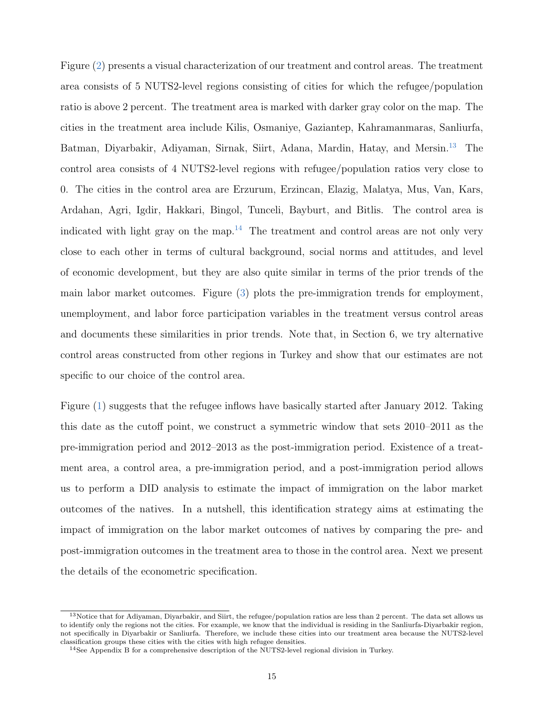Figure [\(2\)](#page-15-0) presents a visual characterization of our treatment and control areas. The treatment area consists of 5 NUTS2-level regions consisting of cities for which the refugee/population ratio is above 2 percent. The treatment area is marked with darker gray color on the map. The cities in the treatment area include Kilis, Osmaniye, Gaziantep, Kahramanmaras, Sanliurfa, Batman, Diyarbakir, Adiyaman, Sirnak, Siirt, Adana, Mardin, Hatay, and Mersin.[13](#page-2-0) The control area consists of 4 NUTS2-level regions with refugee/population ratios very close to 0. The cities in the control area are Erzurum, Erzincan, Elazig, Malatya, Mus, Van, Kars, Ardahan, Agri, Igdir, Hakkari, Bingol, Tunceli, Bayburt, and Bitlis. The control area is indicated with light gray on the map.<sup>[14](#page-2-0)</sup> The treatment and control areas are not only very close to each other in terms of cultural background, social norms and attitudes, and level of economic development, but they are also quite similar in terms of the prior trends of the main labor market outcomes. Figure [\(3\)](#page-40-0) plots the pre-immigration trends for employment, unemployment, and labor force participation variables in the treatment versus control areas and documents these similarities in prior trends. Note that, in Section 6, we try alternative control areas constructed from other regions in Turkey and show that our estimates are not specific to our choice of the control area.

Figure [\(1\)](#page-9-0) suggests that the refugee inflows have basically started after January 2012. Taking this date as the cutoff point, we construct a symmetric window that sets 2010–2011 as the pre-immigration period and 2012–2013 as the post-immigration period. Existence of a treatment area, a control area, a pre-immigration period, and a post-immigration period allows us to perform a DID analysis to estimate the impact of immigration on the labor market outcomes of the natives. In a nutshell, this identification strategy aims at estimating the impact of immigration on the labor market outcomes of natives by comparing the pre- and post-immigration outcomes in the treatment area to those in the control area. Next we present the details of the econometric specification.

 $13$ Notice that for Adiyaman, Diyarbakir, and Siirt, the refugee/population ratios are less than 2 percent. The data set allows us to identify only the regions not the cities. For example, we know that the individual is residing in the Sanliurfa-Diyarbakir region, not specifically in Diyarbakir or Sanliurfa. Therefore, we include these cities into our treatment area because the NUTS2-level classification groups these cities with the cities with high refugee densities.

<sup>14</sup>See Appendix B for a comprehensive description of the NUTS2-level regional division in Turkey.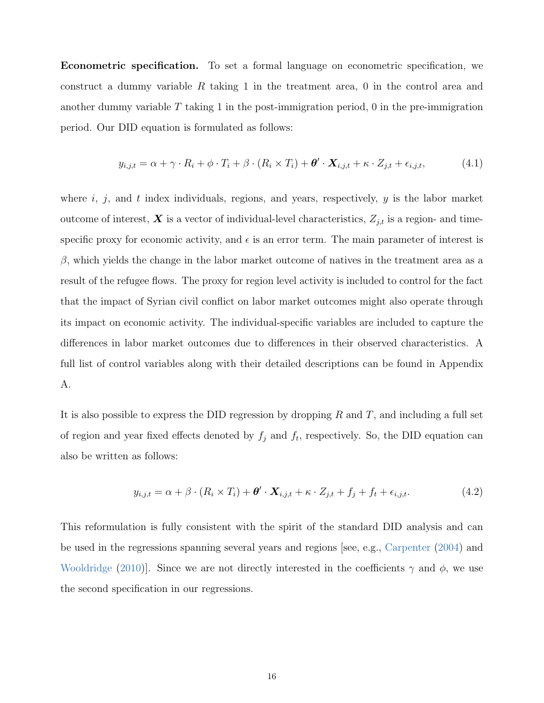Econometric specification. To set a formal language on econometric specification, we construct a dummy variable  $R$  taking 1 in the treatment area, 0 in the control area and another dummy variable  $T$  taking 1 in the post-immigration period, 0 in the pre-immigration period. Our DID equation is formulated as follows:

$$
y_{i,j,t} = \alpha + \gamma \cdot R_i + \phi \cdot T_i + \beta \cdot (R_i \times T_i) + \theta' \cdot \mathbf{X}_{i,j,t} + \kappa \cdot Z_{j,t} + \epsilon_{i,j,t},\tag{4.1}
$$

where  $i, j$ , and  $t$  index individuals, regions, and years, respectively,  $y$  is the labor market outcome of interest,  $\boldsymbol{X}$  is a vector of individual-level characteristics,  $Z_{j,t}$  is a region- and timespecific proxy for economic activity, and  $\epsilon$  is an error term. The main parameter of interest is  $\beta$ , which yields the change in the labor market outcome of natives in the treatment area as a result of the refugee flows. The proxy for region level activity is included to control for the fact that the impact of Syrian civil conflict on labor market outcomes might also operate through its impact on economic activity. The individual-specific variables are included to capture the differences in labor market outcomes due to differences in their observed characteristics. A full list of control variables along with their detailed descriptions can be found in Appendix A.

It is also possible to express the DID regression by dropping  $R$  and  $T$ , and including a full set of region and year fixed effects denoted by  $f_j$  and  $f_t$ , respectively. So, the DID equation can also be written as follows:

$$
y_{i,j,t} = \alpha + \beta \cdot (R_i \times T_i) + \theta' \cdot X_{i,j,t} + \kappa \cdot Z_{j,t} + f_j + f_t + \epsilon_{i,j,t}.
$$
\n(4.2)

This reformulation is fully consistent with the spirit of the standard DID analysis and can be used in the regressions spanning several years and regions [see, e.g., [Carpenter](#page-34-10) [\(2004\)](#page-34-10) and [Wooldridge](#page-37-4) [\(2010\)](#page-37-4). Since we are not directly interested in the coefficients  $\gamma$  and  $\phi$ , we use the second specification in our regressions.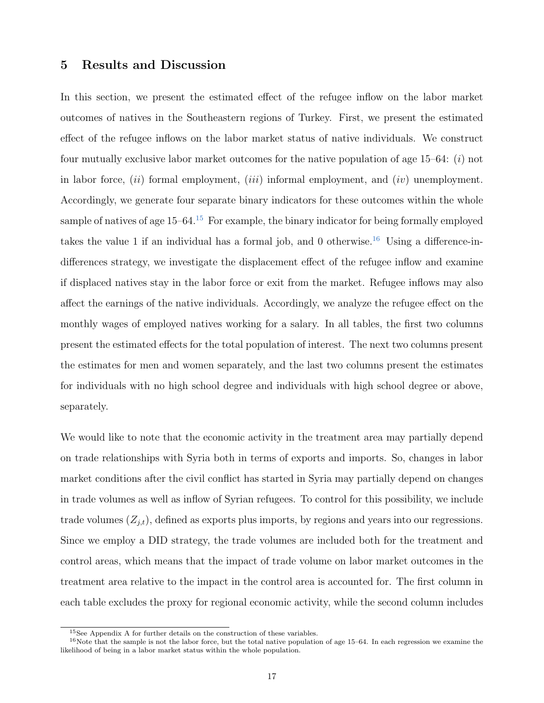#### 5 Results and Discussion

In this section, we present the estimated effect of the refugee inflow on the labor market outcomes of natives in the Southeastern regions of Turkey. First, we present the estimated effect of the refugee inflows on the labor market status of native individuals. We construct four mutually exclusive labor market outcomes for the native population of age  $15-64$ : (i) not in labor force,  $(ii)$  formal employment,  $(iii)$  informal employment, and  $(iv)$  unemployment. Accordingly, we generate four separate binary indicators for these outcomes within the whole sample of natives of age  $15-64$  $15-64$ .<sup>15</sup> For example, the binary indicator for being formally employed takes the value 1 if an individual has a formal job, and 0 otherwise.<sup>[16](#page-2-0)</sup> Using a difference-indifferences strategy, we investigate the displacement effect of the refugee inflow and examine if displaced natives stay in the labor force or exit from the market. Refugee inflows may also affect the earnings of the native individuals. Accordingly, we analyze the refugee effect on the monthly wages of employed natives working for a salary. In all tables, the first two columns present the estimated effects for the total population of interest. The next two columns present the estimates for men and women separately, and the last two columns present the estimates for individuals with no high school degree and individuals with high school degree or above, separately.

We would like to note that the economic activity in the treatment area may partially depend on trade relationships with Syria both in terms of exports and imports. So, changes in labor market conditions after the civil conflict has started in Syria may partially depend on changes in trade volumes as well as inflow of Syrian refugees. To control for this possibility, we include trade volumes  $(Z_{j,t})$ , defined as exports plus imports, by regions and years into our regressions. Since we employ a DID strategy, the trade volumes are included both for the treatment and control areas, which means that the impact of trade volume on labor market outcomes in the treatment area relative to the impact in the control area is accounted for. The first column in each table excludes the proxy for regional economic activity, while the second column includes

<sup>15</sup>See Appendix A for further details on the construction of these variables.

 $16$ Note that the sample is not the labor force, but the total native population of age 15–64. In each regression we examine the likelihood of being in a labor market status within the whole population.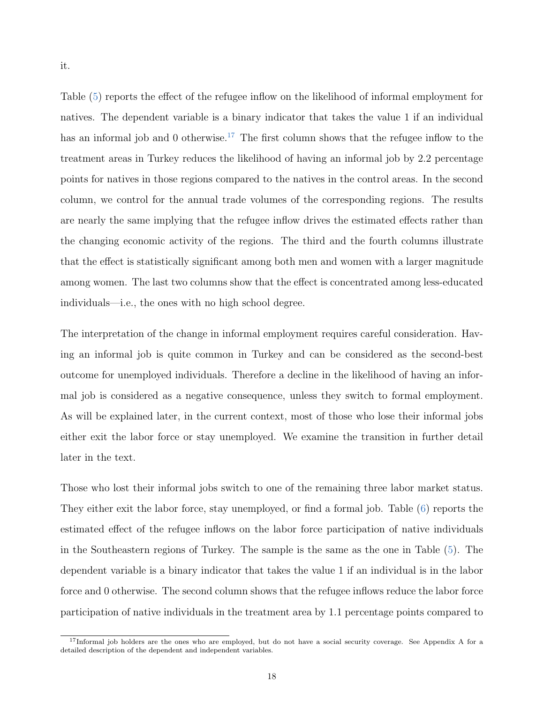Table [\(5\)](#page-41-0) reports the effect of the refugee inflow on the likelihood of informal employment for natives. The dependent variable is a binary indicator that takes the value 1 if an individual has an informal job and 0 otherwise.<sup>[17](#page-2-0)</sup> The first column shows that the refugee inflow to the treatment areas in Turkey reduces the likelihood of having an informal job by 2.2 percentage points for natives in those regions compared to the natives in the control areas. In the second column, we control for the annual trade volumes of the corresponding regions. The results are nearly the same implying that the refugee inflow drives the estimated effects rather than the changing economic activity of the regions. The third and the fourth columns illustrate that the effect is statistically significant among both men and women with a larger magnitude among women. The last two columns show that the effect is concentrated among less-educated individuals—i.e., the ones with no high school degree.

The interpretation of the change in informal employment requires careful consideration. Having an informal job is quite common in Turkey and can be considered as the second-best outcome for unemployed individuals. Therefore a decline in the likelihood of having an informal job is considered as a negative consequence, unless they switch to formal employment. As will be explained later, in the current context, most of those who lose their informal jobs either exit the labor force or stay unemployed. We examine the transition in further detail later in the text.

Those who lost their informal jobs switch to one of the remaining three labor market status. They either exit the labor force, stay unemployed, or find a formal job. Table [\(6\)](#page-42-0) reports the estimated effect of the refugee inflows on the labor force participation of native individuals in the Southeastern regions of Turkey. The sample is the same as the one in Table [\(5\)](#page-41-0). The dependent variable is a binary indicator that takes the value 1 if an individual is in the labor force and 0 otherwise. The second column shows that the refugee inflows reduce the labor force participation of native individuals in the treatment area by 1.1 percentage points compared to

 $17$ Informal job holders are the ones who are employed, but do not have a social security coverage. See Appendix A for a detailed description of the dependent and independent variables.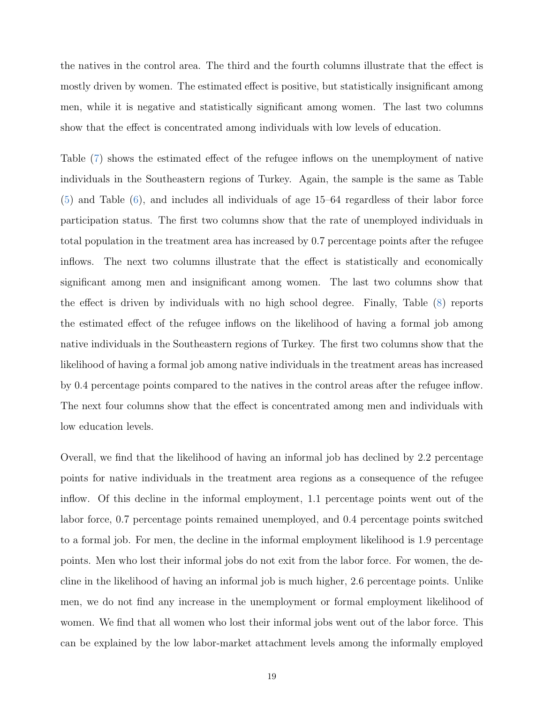the natives in the control area. The third and the fourth columns illustrate that the effect is mostly driven by women. The estimated effect is positive, but statistically insignificant among men, while it is negative and statistically significant among women. The last two columns show that the effect is concentrated among individuals with low levels of education.

Table [\(7\)](#page-43-0) shows the estimated effect of the refugee inflows on the unemployment of native individuals in the Southeastern regions of Turkey. Again, the sample is the same as Table [\(5\)](#page-41-0) and Table [\(6\)](#page-42-0), and includes all individuals of age 15–64 regardless of their labor force participation status. The first two columns show that the rate of unemployed individuals in total population in the treatment area has increased by 0.7 percentage points after the refugee inflows. The next two columns illustrate that the effect is statistically and economically significant among men and insignificant among women. The last two columns show that the effect is driven by individuals with no high school degree. Finally, Table [\(8\)](#page-44-0) reports the estimated effect of the refugee inflows on the likelihood of having a formal job among native individuals in the Southeastern regions of Turkey. The first two columns show that the likelihood of having a formal job among native individuals in the treatment areas has increased by 0.4 percentage points compared to the natives in the control areas after the refugee inflow. The next four columns show that the effect is concentrated among men and individuals with low education levels.

Overall, we find that the likelihood of having an informal job has declined by 2.2 percentage points for native individuals in the treatment area regions as a consequence of the refugee inflow. Of this decline in the informal employment, 1.1 percentage points went out of the labor force, 0.7 percentage points remained unemployed, and 0.4 percentage points switched to a formal job. For men, the decline in the informal employment likelihood is 1.9 percentage points. Men who lost their informal jobs do not exit from the labor force. For women, the decline in the likelihood of having an informal job is much higher, 2.6 percentage points. Unlike men, we do not find any increase in the unemployment or formal employment likelihood of women. We find that all women who lost their informal jobs went out of the labor force. This can be explained by the low labor-market attachment levels among the informally employed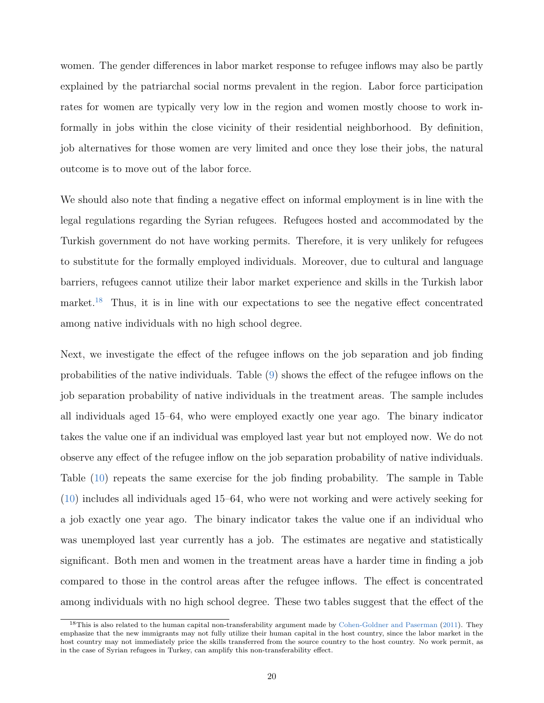women. The gender differences in labor market response to refugee inflows may also be partly explained by the patriarchal social norms prevalent in the region. Labor force participation rates for women are typically very low in the region and women mostly choose to work informally in jobs within the close vicinity of their residential neighborhood. By definition, job alternatives for those women are very limited and once they lose their jobs, the natural outcome is to move out of the labor force.

We should also note that finding a negative effect on informal employment is in line with the legal regulations regarding the Syrian refugees. Refugees hosted and accommodated by the Turkish government do not have working permits. Therefore, it is very unlikely for refugees to substitute for the formally employed individuals. Moreover, due to cultural and language barriers, refugees cannot utilize their labor market experience and skills in the Turkish labor market.<sup>[18](#page-2-0)</sup> Thus, it is in line with our expectations to see the negative effect concentrated among native individuals with no high school degree.

Next, we investigate the effect of the refugee inflows on the job separation and job finding probabilities of the native individuals. Table [\(9\)](#page-45-0) shows the effect of the refugee inflows on the job separation probability of native individuals in the treatment areas. The sample includes all individuals aged 15–64, who were employed exactly one year ago. The binary indicator takes the value one if an individual was employed last year but not employed now. We do not observe any effect of the refugee inflow on the job separation probability of native individuals. Table [\(10\)](#page-46-0) repeats the same exercise for the job finding probability. The sample in Table [\(10\)](#page-46-0) includes all individuals aged 15–64, who were not working and were actively seeking for a job exactly one year ago. The binary indicator takes the value one if an individual who was unemployed last year currently has a job. The estimates are negative and statistically significant. Both men and women in the treatment areas have a harder time in finding a job compared to those in the control areas after the refugee inflows. The effect is concentrated among individuals with no high school degree. These two tables suggest that the effect of the

<sup>&</sup>lt;sup>18</sup>This is also related to the human capital non-transferability argument made by [Cohen-Goldner and Paserman](#page-35-3) [\(2011\)](#page-35-3). They emphasize that the new immigrants may not fully utilize their human capital in the host country, since the labor market in the host country may not immediately price the skills transferred from the source country to the host country. No work permit, as in the case of Syrian refugees in Turkey, can amplify this non-transferability effect.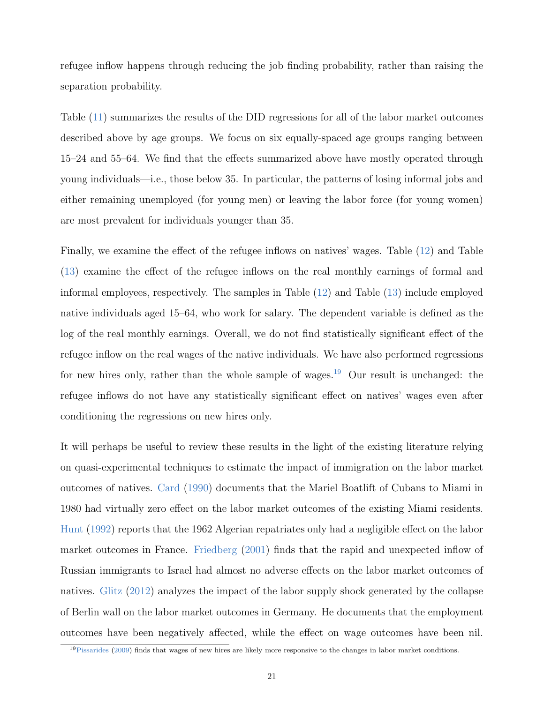refugee inflow happens through reducing the job finding probability, rather than raising the separation probability.

Table [\(11\)](#page-47-0) summarizes the results of the DID regressions for all of the labor market outcomes described above by age groups. We focus on six equally-spaced age groups ranging between 15–24 and 55–64. We find that the effects summarized above have mostly operated through young individuals—i.e., those below 35. In particular, the patterns of losing informal jobs and either remaining unemployed (for young men) or leaving the labor force (for young women) are most prevalent for individuals younger than 35.

Finally, we examine the effect of the refugee inflows on natives' wages. Table [\(12\)](#page-48-0) and Table [\(13\)](#page-49-0) examine the effect of the refugee inflows on the real monthly earnings of formal and informal employees, respectively. The samples in Table [\(12\)](#page-48-0) and Table [\(13\)](#page-49-0) include employed native individuals aged 15–64, who work for salary. The dependent variable is defined as the log of the real monthly earnings. Overall, we do not find statistically significant effect of the refugee inflow on the real wages of the native individuals. We have also performed regressions for new hires only, rather than the whole sample of wages.<sup>[19](#page-2-0)</sup> Our result is unchanged: the refugee inflows do not have any statistically significant effect on natives' wages even after conditioning the regressions on new hires only.

It will perhaps be useful to review these results in the light of the existing literature relying on quasi-experimental techniques to estimate the impact of immigration on the labor market outcomes of natives. [Card](#page-34-7) [\(1990\)](#page-34-7) documents that the Mariel Boatlift of Cubans to Miami in 1980 had virtually zero effect on the labor market outcomes of the existing Miami residents. [Hunt](#page-36-3) [\(1992\)](#page-36-3) reports that the 1962 Algerian repatriates only had a negligible effect on the labor market outcomes in France. [Friedberg](#page-35-4) [\(2001\)](#page-35-4) finds that the rapid and unexpected inflow of Russian immigrants to Israel had almost no adverse effects on the labor market outcomes of natives. [Glitz](#page-35-5) [\(2012\)](#page-35-5) analyzes the impact of the labor supply shock generated by the collapse of Berlin wall on the labor market outcomes in Germany. He documents that the employment outcomes have been negatively affected, while the effect on wage outcomes have been nil.

<sup>&</sup>lt;sup>19</sup>[Pissarides](#page-36-9) [\(2009\)](#page-36-9) finds that wages of new hires are likely more responsive to the changes in labor market conditions.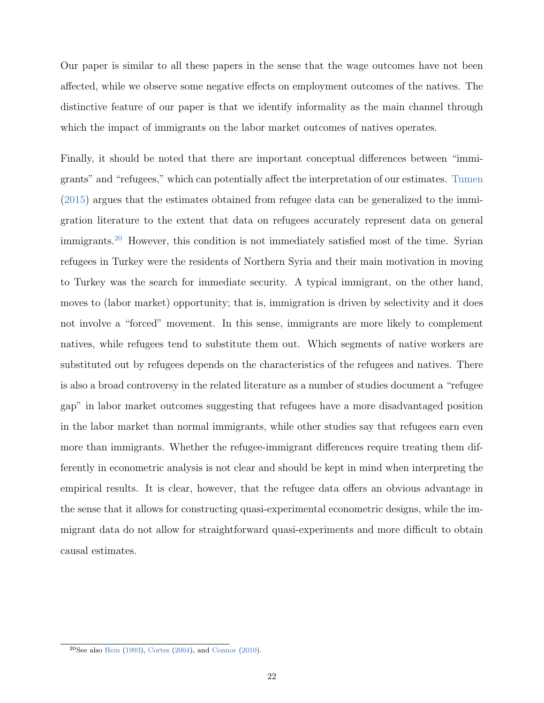Our paper is similar to all these papers in the sense that the wage outcomes have not been affected, while we observe some negative effects on employment outcomes of the natives. The distinctive feature of our paper is that we identify informality as the main channel through which the impact of immigrants on the labor market outcomes of natives operates.

Finally, it should be noted that there are important conceptual differences between "immigrants" and "refugees," which can potentially affect the interpretation of our estimates. [Tumen](#page-36-6) [\(2015\)](#page-36-6) argues that the estimates obtained from refugee data can be generalized to the immigration literature to the extent that data on refugees accurately represent data on general immigrants.<sup>[20](#page-2-0)</sup> However, this condition is not immediately satisfied most of the time. Syrian refugees in Turkey were the residents of Northern Syria and their main motivation in moving to Turkey was the search for immediate security. A typical immigrant, on the other hand, moves to (labor market) opportunity; that is, immigration is driven by selectivity and it does not involve a "forced" movement. In this sense, immigrants are more likely to complement natives, while refugees tend to substitute them out. Which segments of native workers are substituted out by refugees depends on the characteristics of the refugees and natives. There is also a broad controversy in the related literature as a number of studies document a "refugee gap" in labor market outcomes suggesting that refugees have a more disadvantaged position in the labor market than normal immigrants, while other studies say that refugees earn even more than immigrants. Whether the refugee-immigrant differences require treating them differently in econometric analysis is not clear and should be kept in mind when interpreting the empirical results. It is clear, however, that the refugee data offers an obvious advantage in the sense that it allows for constructing quasi-experimental econometric designs, while the immigrant data do not allow for straightforward quasi-experiments and more difficult to obtain causal estimates.

<sup>&</sup>lt;sup>20</sup>See also [Hein](#page-36-10) [\(1993\)](#page-36-10), [Cortes](#page-35-9) [\(2004\)](#page-35-9), and [Connor](#page-35-10) [\(2010\)](#page-35-10).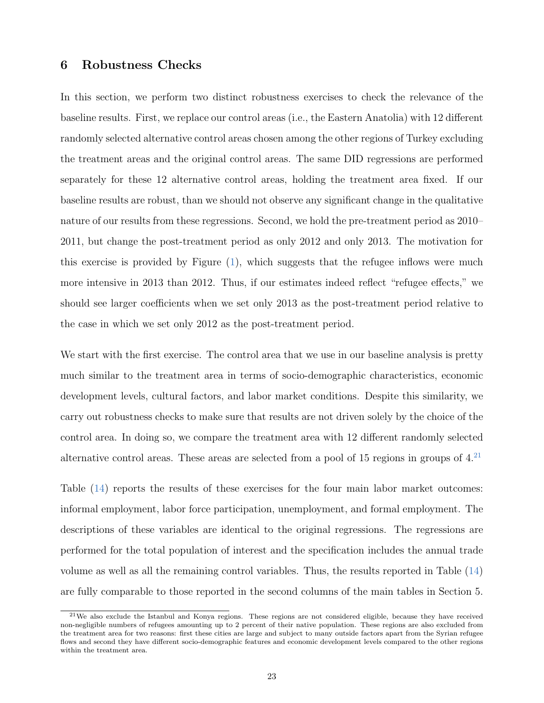### 6 Robustness Checks

In this section, we perform two distinct robustness exercises to check the relevance of the baseline results. First, we replace our control areas (i.e., the Eastern Anatolia) with 12 different randomly selected alternative control areas chosen among the other regions of Turkey excluding the treatment areas and the original control areas. The same DID regressions are performed separately for these 12 alternative control areas, holding the treatment area fixed. If our baseline results are robust, than we should not observe any significant change in the qualitative nature of our results from these regressions. Second, we hold the pre-treatment period as 2010– 2011, but change the post-treatment period as only 2012 and only 2013. The motivation for this exercise is provided by Figure [\(1\)](#page-9-0), which suggests that the refugee inflows were much more intensive in 2013 than 2012. Thus, if our estimates indeed reflect "refugee effects," we should see larger coefficients when we set only 2013 as the post-treatment period relative to the case in which we set only 2012 as the post-treatment period.

We start with the first exercise. The control area that we use in our baseline analysis is pretty much similar to the treatment area in terms of socio-demographic characteristics, economic development levels, cultural factors, and labor market conditions. Despite this similarity, we carry out robustness checks to make sure that results are not driven solely by the choice of the control area. In doing so, we compare the treatment area with 12 different randomly selected alternative control areas. These areas are selected from a pool of 15 regions in groups of  $4.^{21}$  $4.^{21}$  $4.^{21}$ 

Table [\(14\)](#page-50-0) reports the results of these exercises for the four main labor market outcomes: informal employment, labor force participation, unemployment, and formal employment. The descriptions of these variables are identical to the original regressions. The regressions are performed for the total population of interest and the specification includes the annual trade volume as well as all the remaining control variables. Thus, the results reported in Table [\(14\)](#page-50-0) are fully comparable to those reported in the second columns of the main tables in Section 5.

 $21$ We also exclude the Istanbul and Konya regions. These regions are not considered eligible, because they have received non-negligible numbers of refugees amounting up to 2 percent of their native population. These regions are also excluded from the treatment area for two reasons: first these cities are large and subject to many outside factors apart from the Syrian refugee flows and second they have different socio-demographic features and economic development levels compared to the other regions within the treatment area.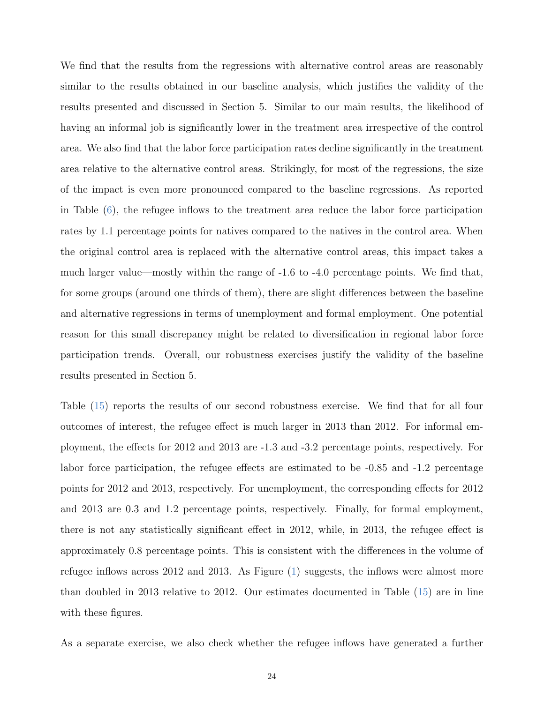We find that the results from the regressions with alternative control areas are reasonably similar to the results obtained in our baseline analysis, which justifies the validity of the results presented and discussed in Section 5. Similar to our main results, the likelihood of having an informal job is significantly lower in the treatment area irrespective of the control area. We also find that the labor force participation rates decline significantly in the treatment area relative to the alternative control areas. Strikingly, for most of the regressions, the size of the impact is even more pronounced compared to the baseline regressions. As reported in Table [\(6\)](#page-42-0), the refugee inflows to the treatment area reduce the labor force participation rates by 1.1 percentage points for natives compared to the natives in the control area. When the original control area is replaced with the alternative control areas, this impact takes a much larger value—mostly within the range of -1.6 to -4.0 percentage points. We find that, for some groups (around one thirds of them), there are slight differences between the baseline and alternative regressions in terms of unemployment and formal employment. One potential reason for this small discrepancy might be related to diversification in regional labor force participation trends. Overall, our robustness exercises justify the validity of the baseline results presented in Section 5.

Table [\(15\)](#page-51-0) reports the results of our second robustness exercise. We find that for all four outcomes of interest, the refugee effect is much larger in 2013 than 2012. For informal employment, the effects for 2012 and 2013 are -1.3 and -3.2 percentage points, respectively. For labor force participation, the refugee effects are estimated to be -0.85 and -1.2 percentage points for 2012 and 2013, respectively. For unemployment, the corresponding effects for 2012 and 2013 are 0.3 and 1.2 percentage points, respectively. Finally, for formal employment, there is not any statistically significant effect in 2012, while, in 2013, the refugee effect is approximately 0.8 percentage points. This is consistent with the differences in the volume of refugee inflows across 2012 and 2013. As Figure [\(1\)](#page-9-0) suggests, the inflows were almost more than doubled in 2013 relative to 2012. Our estimates documented in Table [\(15\)](#page-51-0) are in line with these figures.

As a separate exercise, we also check whether the refugee inflows have generated a further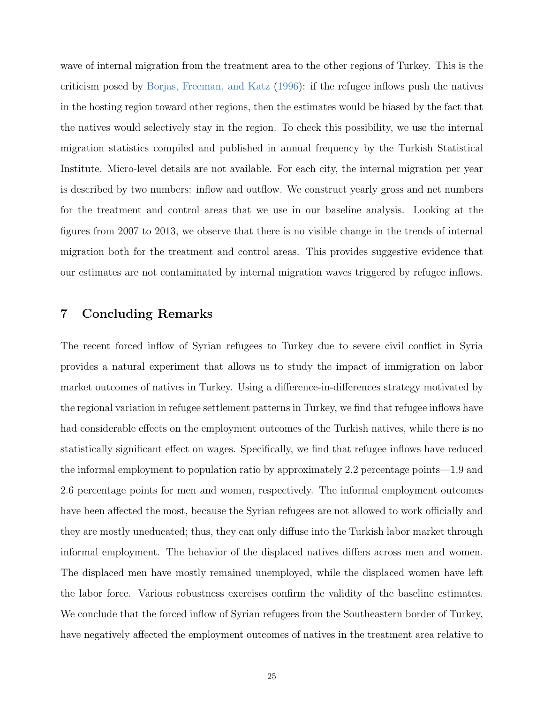wave of internal migration from the treatment area to the other regions of Turkey. This is the criticism posed by [Borjas, Freeman, and Katz](#page-34-1) [\(1996\)](#page-34-1): if the refugee inflows push the natives in the hosting region toward other regions, then the estimates would be biased by the fact that the natives would selectively stay in the region. To check this possibility, we use the internal migration statistics compiled and published in annual frequency by the Turkish Statistical Institute. Micro-level details are not available. For each city, the internal migration per year is described by two numbers: inflow and outflow. We construct yearly gross and net numbers for the treatment and control areas that we use in our baseline analysis. Looking at the figures from 2007 to 2013, we observe that there is no visible change in the trends of internal migration both for the treatment and control areas. This provides suggestive evidence that our estimates are not contaminated by internal migration waves triggered by refugee inflows.

#### 7 Concluding Remarks

The recent forced inflow of Syrian refugees to Turkey due to severe civil conflict in Syria provides a natural experiment that allows us to study the impact of immigration on labor market outcomes of natives in Turkey. Using a difference-in-differences strategy motivated by the regional variation in refugee settlement patterns in Turkey, we find that refugee inflows have had considerable effects on the employment outcomes of the Turkish natives, while there is no statistically significant effect on wages. Specifically, we find that refugee inflows have reduced the informal employment to population ratio by approximately 2.2 percentage points—1.9 and 2.6 percentage points for men and women, respectively. The informal employment outcomes have been affected the most, because the Syrian refugees are not allowed to work officially and they are mostly uneducated; thus, they can only diffuse into the Turkish labor market through informal employment. The behavior of the displaced natives differs across men and women. The displaced men have mostly remained unemployed, while the displaced women have left the labor force. Various robustness exercises confirm the validity of the baseline estimates. We conclude that the forced inflow of Syrian refugees from the Southeastern border of Turkey, have negatively affected the employment outcomes of natives in the treatment area relative to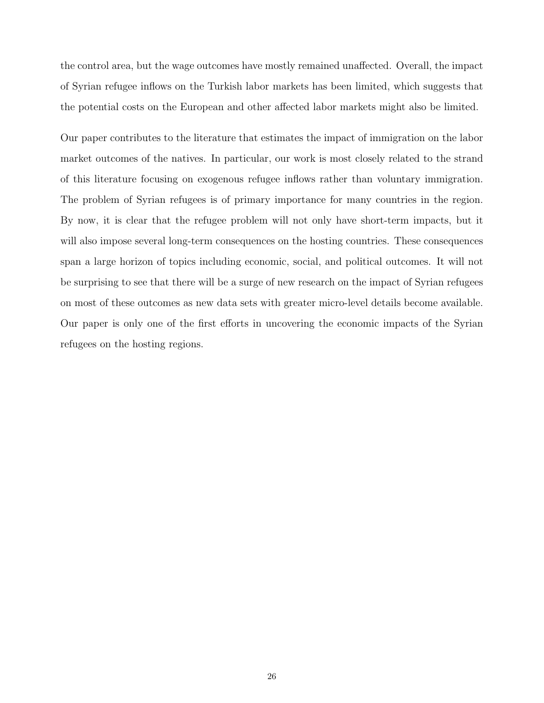the control area, but the wage outcomes have mostly remained unaffected. Overall, the impact of Syrian refugee inflows on the Turkish labor markets has been limited, which suggests that the potential costs on the European and other affected labor markets might also be limited.

Our paper contributes to the literature that estimates the impact of immigration on the labor market outcomes of the natives. In particular, our work is most closely related to the strand of this literature focusing on exogenous refugee inflows rather than voluntary immigration. The problem of Syrian refugees is of primary importance for many countries in the region. By now, it is clear that the refugee problem will not only have short-term impacts, but it will also impose several long-term consequences on the hosting countries. These consequences span a large horizon of topics including economic, social, and political outcomes. It will not be surprising to see that there will be a surge of new research on the impact of Syrian refugees on most of these outcomes as new data sets with greater micro-level details become available. Our paper is only one of the first efforts in uncovering the economic impacts of the Syrian refugees on the hosting regions.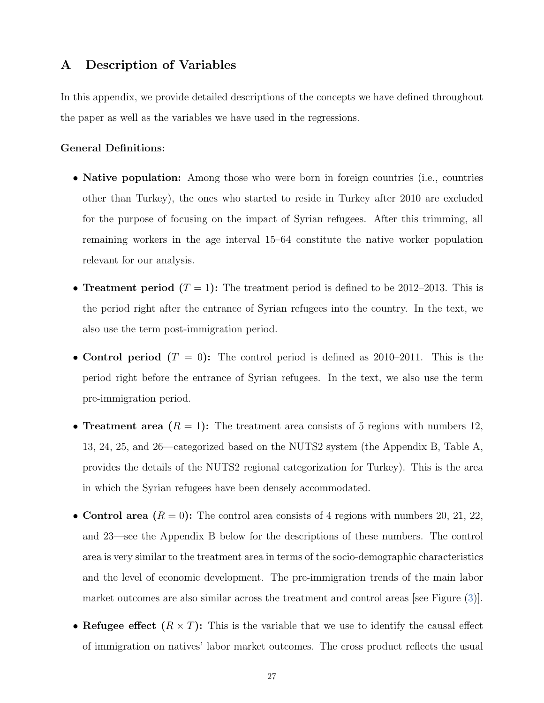#### A Description of Variables

In this appendix, we provide detailed descriptions of the concepts we have defined throughout the paper as well as the variables we have used in the regressions.

#### General Definitions:

- **Native population:** Among those who were born in foreign countries (i.e., countries other than Turkey), the ones who started to reside in Turkey after 2010 are excluded for the purpose of focusing on the impact of Syrian refugees. After this trimming, all remaining workers in the age interval 15–64 constitute the native worker population relevant for our analysis.
- Treatment period  $(T = 1)$ : The treatment period is defined to be 2012–2013. This is the period right after the entrance of Syrian refugees into the country. In the text, we also use the term post-immigration period.
- Control period  $(T = 0)$ : The control period is defined as 2010–2011. This is the period right before the entrance of Syrian refugees. In the text, we also use the term pre-immigration period.
- Treatment area  $(R = 1)$ : The treatment area consists of 5 regions with numbers 12, 13, 24, 25, and 26—categorized based on the NUTS2 system (the Appendix B, Table A, provides the details of the NUTS2 regional categorization for Turkey). This is the area in which the Syrian refugees have been densely accommodated.
- Control area  $(R = 0)$ : The control area consists of 4 regions with numbers 20, 21, 22, and 23—see the Appendix B below for the descriptions of these numbers. The control area is very similar to the treatment area in terms of the socio-demographic characteristics and the level of economic development. The pre-immigration trends of the main labor market outcomes are also similar across the treatment and control areas [see Figure [\(3\)](#page-40-0)].
- Refugee effect  $(R \times T)$ : This is the variable that we use to identify the causal effect of immigration on natives' labor market outcomes. The cross product reflects the usual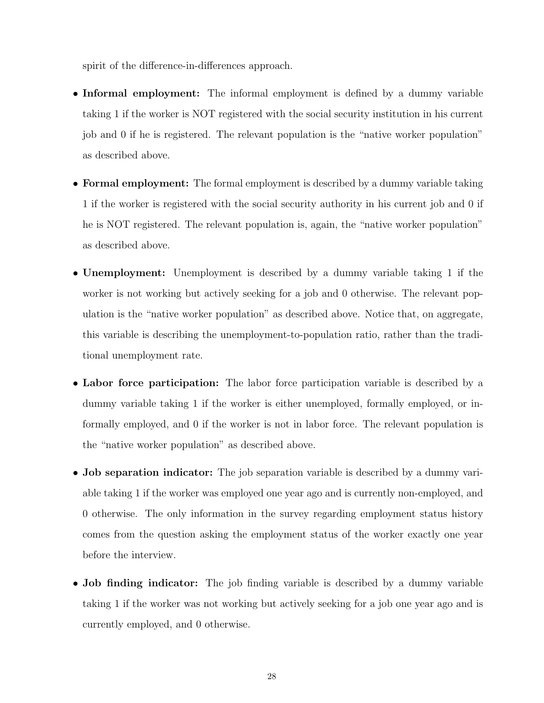spirit of the difference-in-differences approach.

- Informal employment: The informal employment is defined by a dummy variable taking 1 if the worker is NOT registered with the social security institution in his current job and 0 if he is registered. The relevant population is the "native worker population" as described above.
- Formal employment: The formal employment is described by a dummy variable taking 1 if the worker is registered with the social security authority in his current job and 0 if he is NOT registered. The relevant population is, again, the "native worker population" as described above.
- Unemployment: Unemployment is described by a dummy variable taking 1 if the worker is not working but actively seeking for a job and 0 otherwise. The relevant population is the "native worker population" as described above. Notice that, on aggregate, this variable is describing the unemployment-to-population ratio, rather than the traditional unemployment rate.
- Labor force participation: The labor force participation variable is described by a dummy variable taking 1 if the worker is either unemployed, formally employed, or informally employed, and 0 if the worker is not in labor force. The relevant population is the "native worker population" as described above.
- Job separation indicator: The job separation variable is described by a dummy variable taking 1 if the worker was employed one year ago and is currently non-employed, and 0 otherwise. The only information in the survey regarding employment status history comes from the question asking the employment status of the worker exactly one year before the interview.
- **Job finding indicator:** The job finding variable is described by a dummy variable taking 1 if the worker was not working but actively seeking for a job one year ago and is currently employed, and 0 otherwise.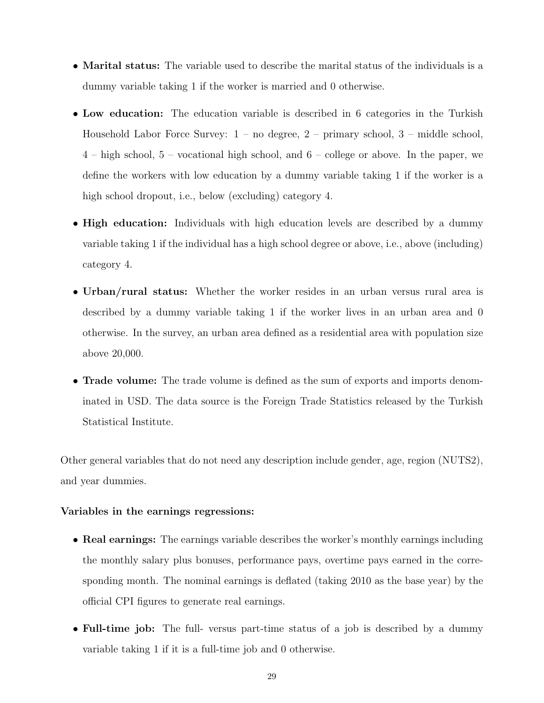- Marital status: The variable used to describe the marital status of the individuals is a dummy variable taking 1 if the worker is married and 0 otherwise.
- Low education: The education variable is described in 6 categories in the Turkish Household Labor Force Survey: 1 – no degree, 2 – primary school, 3 – middle school, 4 – high school, 5 – vocational high school, and 6 – college or above. In the paper, we define the workers with low education by a dummy variable taking 1 if the worker is a high school dropout, i.e., below (excluding) category 4.
- **High education:** Individuals with high education levels are described by a dummy variable taking 1 if the individual has a high school degree or above, i.e., above (including) category 4.
- Urban/rural status: Whether the worker resides in an urban versus rural area is described by a dummy variable taking 1 if the worker lives in an urban area and 0 otherwise. In the survey, an urban area defined as a residential area with population size above 20,000.
- Trade volume: The trade volume is defined as the sum of exports and imports denominated in USD. The data source is the Foreign Trade Statistics released by the Turkish Statistical Institute.

Other general variables that do not need any description include gender, age, region (NUTS2), and year dummies.

#### Variables in the earnings regressions:

- Real earnings: The earnings variable describes the worker's monthly earnings including the monthly salary plus bonuses, performance pays, overtime pays earned in the corresponding month. The nominal earnings is deflated (taking 2010 as the base year) by the official CPI figures to generate real earnings.
- Full-time job: The full- versus part-time status of a job is described by a dummy variable taking 1 if it is a full-time job and 0 otherwise.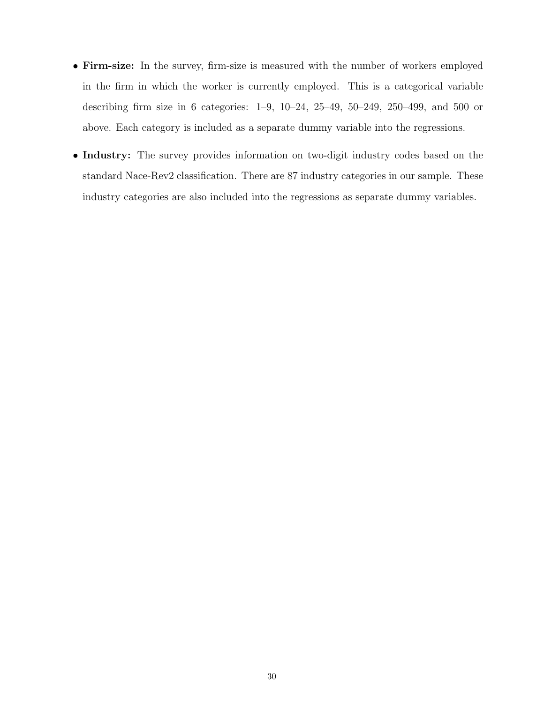- Firm-size: In the survey, firm-size is measured with the number of workers employed in the firm in which the worker is currently employed. This is a categorical variable describing firm size in 6 categories: 1–9, 10–24, 25–49, 50–249, 250–499, and 500 or above. Each category is included as a separate dummy variable into the regressions.
- Industry: The survey provides information on two-digit industry codes based on the standard Nace-Rev2 classification. There are 87 industry categories in our sample. These industry categories are also included into the regressions as separate dummy variables.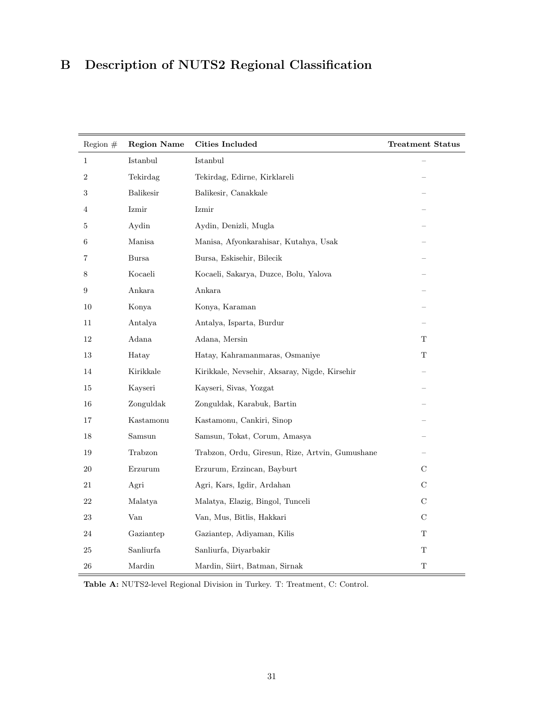# B Description of NUTS2 Regional Classification

| Region $#$       | <b>Region Name</b> | Cities Included                                 | Treatment Status |
|------------------|--------------------|-------------------------------------------------|------------------|
| 1                | Istanbul           | Istanbul                                        |                  |
| $\boldsymbol{2}$ | Tekirdag           | Tekirdag, Edirne, Kirklareli                    |                  |
| 3                | <b>Balikesir</b>   | Balikesir, Canakkale                            |                  |
| 4                | Izmir              | Izmir                                           |                  |
| 5                | Aydin              | Aydin, Denizli, Mugla                           |                  |
| 6                | Manisa             | Manisa, Afyonkarahisar, Kutahya, Usak           |                  |
| 7                | Bursa              | Bursa, Eskisehir, Bilecik                       |                  |
| 8                | Kocaeli            | Kocaeli, Sakarya, Duzce, Bolu, Yalova           |                  |
| 9                | Ankara             | Ankara                                          |                  |
| 10               | Konya              | Konya, Karaman                                  |                  |
| 11               | Antalya            | Antalya, Isparta, Burdur                        |                  |
| 12               | Adana              | Adana, Mersin                                   | T                |
| 13               | Hatay              | Hatay, Kahramanmaras, Osmaniye                  | T                |
| 14               | Kirikkale          | Kirikkale, Nevsehir, Aksaray, Nigde, Kirsehir   |                  |
| 15               | Kayseri            | Kayseri, Sivas, Yozgat                          |                  |
| 16               | Zonguldak          | Zonguldak, Karabuk, Bartin                      |                  |
| 17               | Kastamonu          | Kastamonu, Cankiri, Sinop                       |                  |
| 18               | Samsun             | Samsun, Tokat, Corum, Amasya                    |                  |
| 19               | Trabzon            | Trabzon, Ordu, Giresun, Rize, Artvin, Gumushane |                  |
| 20               | Erzurum            | Erzurum, Erzincan, Bayburt                      | С                |
| 21               | Agri               | Agri, Kars, Igdir, Ardahan                      | $\mathcal{C}$    |
| 22               | Malatya            | Malatya, Elazig, Bingol, Tunceli                | С                |
| 23               | Van                | Van, Mus, Bitlis, Hakkari                       | С                |
| 24               | Gaziantep          | Gaziantep, Adiyaman, Kilis                      | Т                |
| 25               | Sanliurfa          | Sanliurfa, Diyarbakir                           | T                |
| 26               | Mardin             | Mardin, Siirt, Batman, Sirnak                   | T                |

Table A: NUTS2-level Regional Division in Turkey. T: Treatment, C: Control.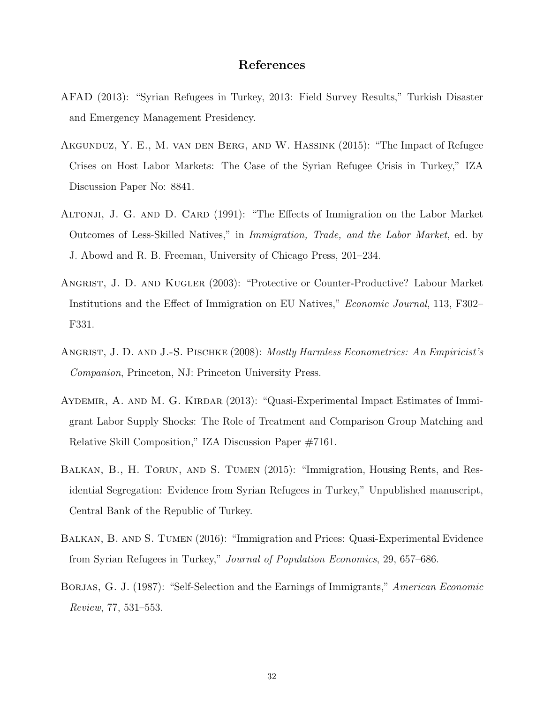## References

- <span id="page-33-7"></span>AFAD (2013): "Syrian Refugees in Turkey, 2013: Field Survey Results," Turkish Disaster and Emergency Management Presidency.
- <span id="page-33-5"></span>Akgunduz, Y. E., M. van den Berg, and W. Hassink (2015): "The Impact of Refugee Crises on Host Labor Markets: The Case of the Syrian Refugee Crisis in Turkey," IZA Discussion Paper No: 8841.
- <span id="page-33-0"></span>ALTONJI, J. G. AND D. CARD (1991): "The Effects of Immigration on the Labor Market Outcomes of Less-Skilled Natives," in Immigration, Trade, and the Labor Market, ed. by J. Abowd and R. B. Freeman, University of Chicago Press, 201–234.
- <span id="page-33-3"></span>Angrist, J. D. and Kugler (2003): "Protective or Counter-Productive? Labour Market Institutions and the Effect of Immigration on EU Natives," Economic Journal, 113, F302– F331.
- <span id="page-33-8"></span>ANGRIST, J. D. AND J.-S. PISCHKE (2008): Mostly Harmless Econometrics: An Empiricist's Companion, Princeton, NJ: Princeton University Press.
- <span id="page-33-4"></span>AYDEMIR, A. AND M. G. KIRDAR (2013): "Quasi-Experimental Impact Estimates of Immigrant Labor Supply Shocks: The Role of Treatment and Comparison Group Matching and Relative Skill Composition," IZA Discussion Paper #7161.
- <span id="page-33-6"></span>Balkan, B., H. Torun, and S. Tumen (2015): "Immigration, Housing Rents, and Residential Segregation: Evidence from Syrian Refugees in Turkey," Unpublished manuscript, Central Bank of the Republic of Turkey.
- <span id="page-33-1"></span>Balkan, B. and S. Tumen (2016): "Immigration and Prices: Quasi-Experimental Evidence from Syrian Refugees in Turkey," Journal of Population Economics, 29, 657–686.
- <span id="page-33-2"></span>BORJAS, G. J. (1987): "Self-Selection and the Earnings of Immigrants," American Economic Review, 77, 531–553.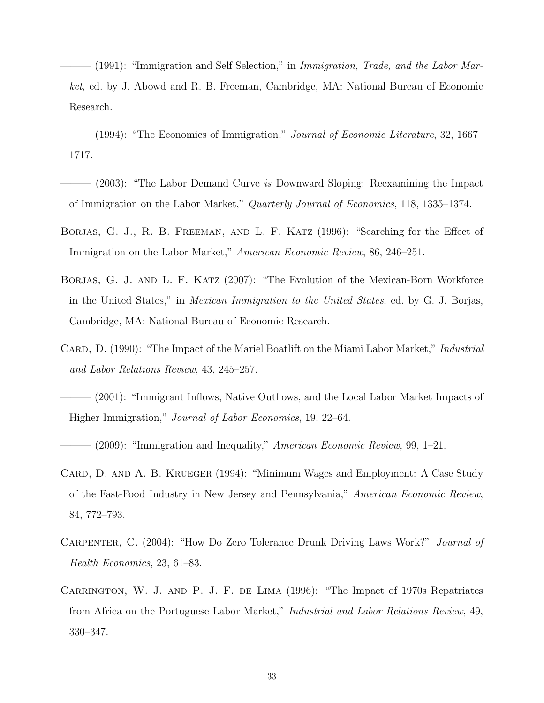<span id="page-34-2"></span> $-$  (1991): "Immigration and Self Selection," in Immigration, Trade, and the Labor Market, ed. by J. Abowd and R. B. Freeman, Cambridge, MA: National Bureau of Economic Research.

<span id="page-34-0"></span> $-$  (1994): "The Economics of Immigration," *Journal of Economic Literature*, 32, 1667– 1717.

- <span id="page-34-4"></span> $(2003)$ : "The Labor Demand Curve is Downward Sloping: Reexamining the Impact of Immigration on the Labor Market," Quarterly Journal of Economics, 118, 1335–1374.
- <span id="page-34-1"></span>BORJAS, G. J., R. B. FREEMAN, AND L. F. KATZ (1996): "Searching for the Effect of Immigration on the Labor Market," American Economic Review, 86, 246–251.
- <span id="page-34-5"></span>Borjas, G. J. and L. F. Katz (2007): "The Evolution of the Mexican-Born Workforce in the United States," in Mexican Immigration to the United States, ed. by G. J. Borjas, Cambridge, MA: National Bureau of Economic Research.
- <span id="page-34-7"></span>CARD, D. (1990): "The Impact of the Mariel Boatlift on the Miami Labor Market," *Industrial* and Labor Relations Review, 43, 245–257.
- <span id="page-34-3"></span>(2001): "Immigrant Inflows, Native Outflows, and the Local Labor Market Impacts of Higher Immigration," Journal of Labor Economics, 19, 22–64.

- <span id="page-34-9"></span>Card, D. and A. B. Krueger (1994): "Minimum Wages and Employment: A Case Study of the Fast-Food Industry in New Jersey and Pennsylvania," American Economic Review, 84, 772–793.
- <span id="page-34-10"></span>Carpenter, C. (2004): "How Do Zero Tolerance Drunk Driving Laws Work?" Journal of Health Economics, 23, 61–83.
- <span id="page-34-8"></span>Carrington, W. J. and P. J. F. de Lima (1996): "The Impact of 1970s Repatriates from Africa on the Portuguese Labor Market," Industrial and Labor Relations Review, 49, 330–347.

<span id="page-34-6"></span> $(2009)$ : "Immigration and Inequality," *American Economic Review*, 99, 1–21.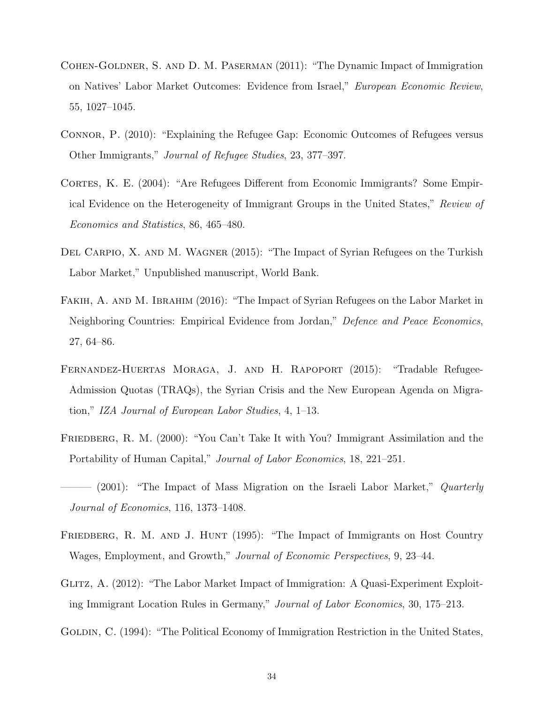- <span id="page-35-3"></span>Cohen-Goldner, S. and D. M. Paserman (2011): "The Dynamic Impact of Immigration on Natives' Labor Market Outcomes: Evidence from Israel," European Economic Review, 55, 1027–1045.
- <span id="page-35-10"></span>Connor, P. (2010): "Explaining the Refugee Gap: Economic Outcomes of Refugees versus Other Immigrants," Journal of Refugee Studies, 23, 377–397.
- <span id="page-35-9"></span>CORTES, K. E. (2004): "Are Refugees Different from Economic Immigrants? Some Empirical Evidence on the Heterogeneity of Immigrant Groups in the United States," Review of Economics and Statistics, 86, 465–480.
- <span id="page-35-6"></span>DEL CARPIO, X. AND M. WAGNER (2015): "The Impact of Syrian Refugees on the Turkish Labor Market," Unpublished manuscript, World Bank.
- <span id="page-35-7"></span>FAKIH, A. AND M. IBRAHIM (2016): "The Impact of Syrian Refugees on the Labor Market in Neighboring Countries: Empirical Evidence from Jordan," Defence and Peace Economics, 27, 64–86.
- <span id="page-35-8"></span>FERNANDEZ-HUERTAS MORAGA, J. AND H. RAPOPORT (2015): "Tradable Refugee-Admission Quotas (TRAQs), the Syrian Crisis and the New European Agenda on Migration," IZA Journal of European Labor Studies, 4, 1–13.
- <span id="page-35-2"></span>FRIEDBERG, R. M. (2000): "You Can't Take It with You? Immigrant Assimilation and the Portability of Human Capital," Journal of Labor Economics, 18, 221–251.

- <span id="page-35-1"></span>FRIEDBERG, R. M. AND J. HUNT (1995): "The Impact of Immigrants on Host Country Wages, Employment, and Growth," Journal of Economic Perspectives, 9, 23–44.
- <span id="page-35-5"></span>Glitz, A. (2012): "The Labor Market Impact of Immigration: A Quasi-Experiment Exploiting Immigrant Location Rules in Germany," Journal of Labor Economics, 30, 175–213.
- <span id="page-35-0"></span>GOLDIN, C. (1994): "The Political Economy of Immigration Restriction in the United States,

<span id="page-35-4"></span> $(2001)$ : "The Impact of Mass Migration on the Israeli Labor Market," *Quarterly* Journal of Economics, 116, 1373–1408.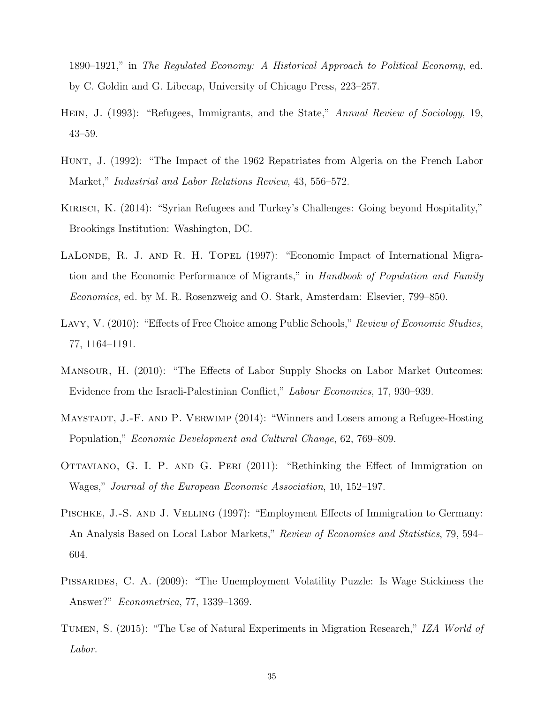1890–1921," in The Regulated Economy: A Historical Approach to Political Economy, ed. by C. Goldin and G. Libecap, University of Chicago Press, 223–257.

- <span id="page-36-10"></span>HEIN, J. (1993): "Refugees, Immigrants, and the State," Annual Review of Sociology, 19, 43–59.
- <span id="page-36-3"></span>HUNT, J. (1992): "The Impact of the 1962 Repatriates from Algeria on the French Labor Market," Industrial and Labor Relations Review, 43, 556–572.
- <span id="page-36-8"></span>Kirisci, K. (2014): "Syrian Refugees and Turkey's Challenges: Going beyond Hospitality," Brookings Institution: Washington, DC.
- <span id="page-36-0"></span>LALONDE, R. J. AND R. H. TOPEL (1997): "Economic Impact of International Migration and the Economic Performance of Migrants," in Handbook of Population and Family Economics, ed. by M. R. Rosenzweig and O. Stark, Amsterdam: Elsevier, 799–850.
- <span id="page-36-7"></span>LAVY, V. (2010): "Effects of Free Choice among Public Schools," Review of Economic Studies, 77, 1164–1191.
- <span id="page-36-4"></span>Mansour, H. (2010): "The Effects of Labor Supply Shocks on Labor Market Outcomes: Evidence from the Israeli-Palestinian Conflict," Labour Economics, 17, 930–939.
- <span id="page-36-5"></span>MAYSTADT, J.-F. AND P. VERWIMP (2014): "Winners and Losers among a Refugee-Hosting Population," Economic Development and Cultural Change, 62, 769–809.
- <span id="page-36-2"></span>Ottaviano, G. I. P. and G. Peri (2011): "Rethinking the Effect of Immigration on Wages," Journal of the European Economic Association, 10, 152–197.
- <span id="page-36-1"></span>PISCHKE, J.-S. AND J. VELLING (1997): "Employment Effects of Immigration to Germany: An Analysis Based on Local Labor Markets," Review of Economics and Statistics, 79, 594– 604.
- <span id="page-36-9"></span>Pissarides, C. A. (2009): "The Unemployment Volatility Puzzle: Is Wage Stickiness the Answer?" Econometrica, 77, 1339–1369.
- <span id="page-36-6"></span>Tumen, S. (2015): "The Use of Natural Experiments in Migration Research," IZA World of Labor.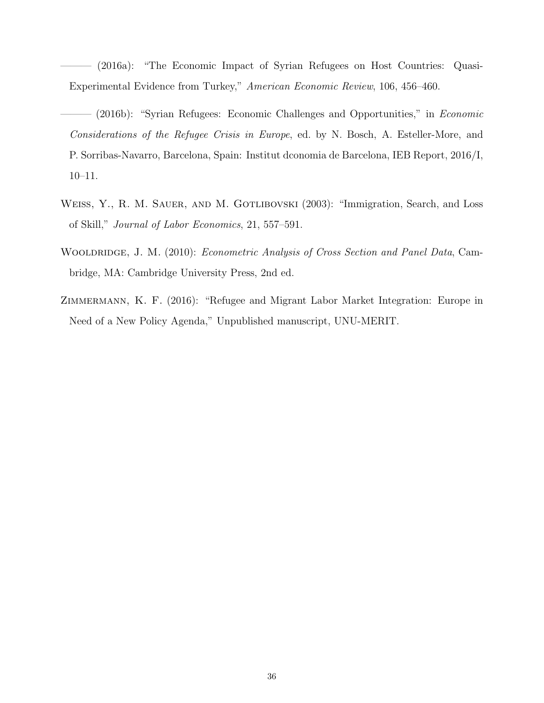<span id="page-37-0"></span>(2016a): "The Economic Impact of Syrian Refugees on Host Countries: Quasi-Experimental Evidence from Turkey," American Economic Review, 106, 456–460.

- <span id="page-37-3"></span> $-$  (2016b): "Syrian Refugees: Economic Challenges and Opportunities," in *Economic* Considerations of the Refugee Crisis in Europe, ed. by N. Bosch, A. Esteller-More, and P. Sorribas-Navarro, Barcelona, Spain: Institut dconomia de Barcelona, IEB Report, 2016/I, 10–11.
- <span id="page-37-1"></span>WEISS, Y., R. M. SAUER, AND M. GOTLIBOVSKI (2003): "Immigration, Search, and Loss of Skill," Journal of Labor Economics, 21, 557–591.
- <span id="page-37-4"></span>WOOLDRIDGE, J. M. (2010): Econometric Analysis of Cross Section and Panel Data, Cambridge, MA: Cambridge University Press, 2nd ed.
- <span id="page-37-2"></span>Zimmermann, K. F. (2016): "Refugee and Migrant Labor Market Integration: Europe in Need of a New Policy Agenda," Unpublished manuscript, UNU-MERIT.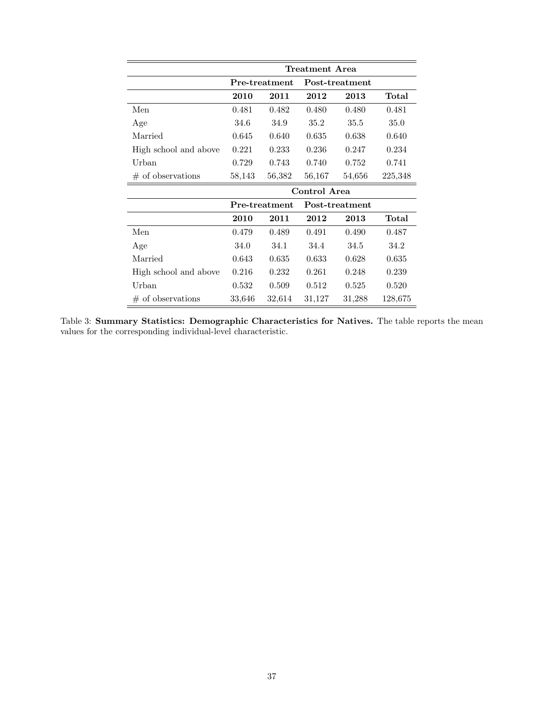<span id="page-38-0"></span>

|                       | Treatment Area |                      |              |                |         |  |  |
|-----------------------|----------------|----------------------|--------------|----------------|---------|--|--|
|                       |                | <b>Pre-treatment</b> |              | Post-treatment |         |  |  |
|                       | 2010           | 2011                 | 2012         | 2013           | Total   |  |  |
| Men                   | 0.481          | 0.482                | 0.480        | 0.480          | 0.481   |  |  |
| Age                   | 34.6           | 34.9                 | 35.2         | 35.5           | 35.0    |  |  |
| Married               | 0.645          | 0.640                | 0.635        | 0.638          | 0.640   |  |  |
| High school and above | 0.221          | 0.233                | 0.236        | 0.247          | 0.234   |  |  |
| Urban                 | 0.729          | 0.743                | 0.740        | 0.752          | 0.741   |  |  |
| $#$ of observations   | 58,143         | 56,382               | 56,167       | 54,656         | 225,348 |  |  |
|                       |                |                      | Control Area |                |         |  |  |
|                       |                | Pre-treatment        |              | Post-treatment |         |  |  |
|                       | 2010           | 2011                 | 2012         | 2013           | Total   |  |  |
| Men                   | 0.479          | 0.489                | 0.491        | 0.490          | 0.487   |  |  |
| Age                   | 34.0           | 34.1                 | 34.4         | 34.5           | 34.2    |  |  |
| Married               | 0.643          | 0.635                | 0.633        | 0.628          | 0.635   |  |  |
| High school and above | 0.216          | 0.232                | 0.261        | 0.248          | 0.239   |  |  |
| Urban                 | 0.532          | 0.509                | 0.512        | 0.525          | 0.520   |  |  |
| $#$ of observations   | 33,646         | 32,614               | 31,127       | 31,288         | 128,675 |  |  |

Table 3: Summary Statistics: Demographic Characteristics for Natives. The table reports the mean values for the corresponding individual-level characteristic.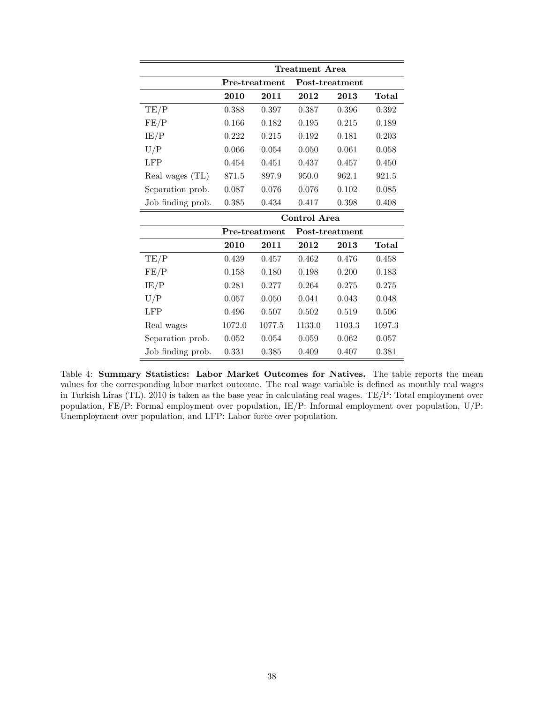<span id="page-39-0"></span>

|                   | Treatment Area |               |                     |                |              |  |  |  |
|-------------------|----------------|---------------|---------------------|----------------|--------------|--|--|--|
|                   |                | Pre-treatment |                     | Post-treatment |              |  |  |  |
|                   | 2010           | 2011          | 2012                | 2013           | Total        |  |  |  |
| TE/P              | 0.388          | 0.397         | 0.387               | 0.396          | 0.392        |  |  |  |
| FE/P              | 0.166          | 0.182         | 0.195               | 0.215          | 0.189        |  |  |  |
| IE/P              | 0.222          | 0.215         | 0.192               | 0.181          | 0.203        |  |  |  |
| U/P               | 0.066          | 0.054         | 0.050               | 0.061          | 0.058        |  |  |  |
| <b>LFP</b>        | 0.454          | 0.451         | 0.437               | 0.457          | 0.450        |  |  |  |
| Real wages (TL)   | 871.5          | 897.9         | 950.0               | 962.1          | 921.5        |  |  |  |
| Separation prob.  | 0.087          | 0.076         | 0.076               | 0.102          | 0.085        |  |  |  |
| Job finding prob. | 0.385          | 0.434         | 0.417               | 0.398          | 0.408        |  |  |  |
|                   |                |               | <b>Control Area</b> |                |              |  |  |  |
|                   |                | Pre-treatment | Post-treatment      |                |              |  |  |  |
|                   | 2010           | 2011          | 2012                | 2013           | <b>Total</b> |  |  |  |
| TE/P              | 0.439          | 0.457         | 0.462               | 0.476          | 0.458        |  |  |  |
| FE/P              | 0.158          | 0.180         | 0.198               | 0.200          | 0.183        |  |  |  |
| IE/P              | 0.281          | 0.277         | 0.264               | 0.275          | 0.275        |  |  |  |
| U/P               | 0.057          | 0.050         | 0.041               | 0.043          | 0.048        |  |  |  |
| LFP               | 0.496          | 0.507         | 0.502               | 0.519          | 0.506        |  |  |  |
| Real wages        | 1072.0         | 1077.5        | 1133.0              | 1103.3         | 1097.3       |  |  |  |
| Separation prob.  | 0.052          | 0.054         | 0.059               | 0.062          | 0.057        |  |  |  |
| Job finding prob. | 0.331          | 0.385         | 0.409               | 0.407          | 0.381        |  |  |  |

Table 4: Summary Statistics: Labor Market Outcomes for Natives. The table reports the mean values for the corresponding labor market outcome. The real wage variable is defined as monthly real wages in Turkish Liras (TL). 2010 is taken as the base year in calculating real wages. TE/P: Total employment over population, FE/P: Formal employment over population, IE/P: Informal employment over population, U/P: Unemployment over population, and LFP: Labor force over population.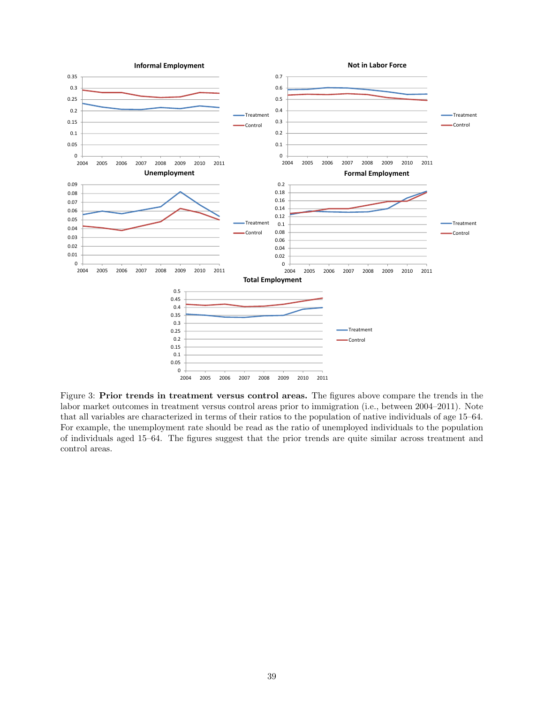<span id="page-40-0"></span>

Figure 3: Prior trends in treatment versus control areas. The figures above compare the trends in the labor market outcomes in treatment versus control areas prior to immigration (i.e., between 2004–2011). Note that all variables are characterized in terms of their ratios to the population of native individuals of age 15–64. For example, the unemployment rate should be read as the ratio of unemployed individuals to the population of individuals aged 15–64. The figures suggest that the prior trends are quite similar across treatment and control areas.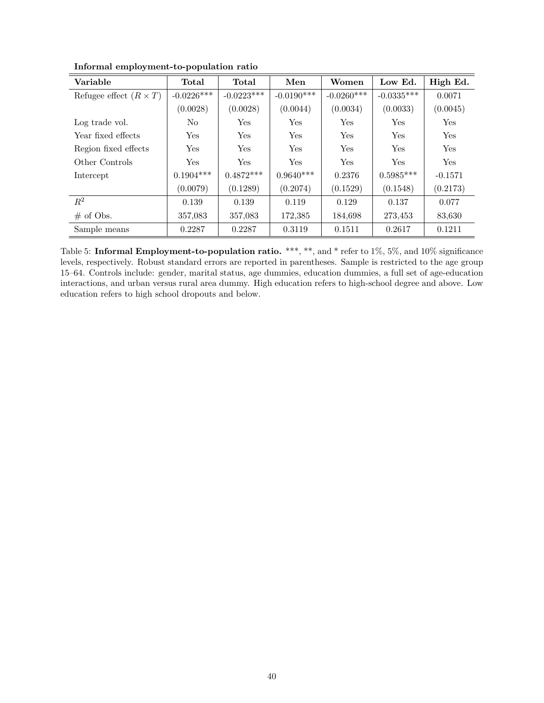| Variable                      | Total          | Total        | Men          | Women        | Low Ed.      | High Ed.  |
|-------------------------------|----------------|--------------|--------------|--------------|--------------|-----------|
| Refugee effect $(R \times T)$ | $-0.0226***$   | $-0.0223***$ | $-0.0190***$ | $-0.0260***$ | $-0.0335***$ | 0.0071    |
|                               | (0.0028)       | (0.0028)     | (0.0044)     | (0.0034)     | (0.0033)     | (0.0045)  |
| Log trade vol.                | N <sub>o</sub> | Yes          | <b>Yes</b>   | Yes          | Yes          | Yes       |
| Year fixed effects            | <b>Yes</b>     | Yes          | <b>Yes</b>   | Yes          | Yes          | Yes       |
| Region fixed effects          | Yes            | Yes          | <b>Yes</b>   | Yes          | Yes          | Yes       |
| Other Controls                | Yes            | Yes          | <b>Yes</b>   | Yes          | Yes          | Yes       |
| Intercept                     | $0.1904***$    | $0.4872***$  | $0.9640***$  | 0.2376       | $0.5985***$  | $-0.1571$ |
|                               | (0.0079)       | (0.1289)     | (0.2074)     | (0.1529)     | (0.1548)     | (0.2173)  |
| $\mathbb{R}^2$                | 0.139          | 0.139        | 0.119        | 0.129        | 0.137        | 0.077     |
| $\#$ of Obs.                  | 357,083        | 357,083      | 172,385      | 184,698      | 273,453      | 83,630    |
| Sample means                  | 0.2287         | 0.2287       | 0.3119       | 0.1511       | 0.2617       | 0.1211    |

<span id="page-41-0"></span>Informal employment-to-population ratio

Table 5: Informal Employment-to-population ratio. \*\*\*, \*\*, and \* refer to 1%, 5%, and 10% significance levels, respectively. Robust standard errors are reported in parentheses. Sample is restricted to the age group 15–64. Controls include: gender, marital status, age dummies, education dummies, a full set of age-education interactions, and urban versus rural area dummy. High education refers to high-school degree and above. Low education refers to high school dropouts and below.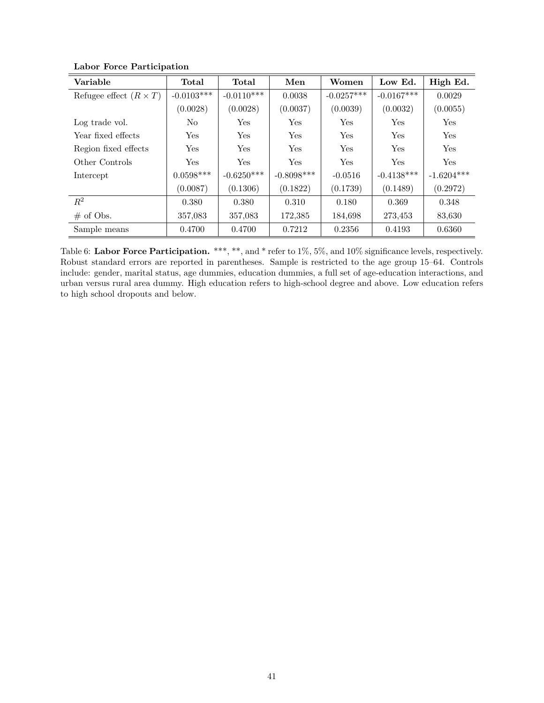| Variable                      | Total          | Total        | Men          | Women        | Low Ed.      | High Ed.     |
|-------------------------------|----------------|--------------|--------------|--------------|--------------|--------------|
| Refugee effect $(R \times T)$ | $-0.0103***$   | $-0.0110***$ | 0.0038       | $-0.0257***$ | $-0.0167***$ | 0.0029       |
|                               | (0.0028)       | (0.0028)     | (0.0037)     | (0.0039)     | (0.0032)     | (0.0055)     |
| Log trade vol.                | N <sub>0</sub> | Yes          | Yes          | Yes          | Yes          | Yes          |
| Year fixed effects            | <b>Yes</b>     | Yes          | Yes          | <b>Yes</b>   | Yes          | Yes          |
| Region fixed effects          | <b>Yes</b>     | Yes          | Yes          | <b>Yes</b>   | Yes          | Yes          |
| Other Controls                | <b>Yes</b>     | Yes          | Yes          | Yes          | Yes          | Yes          |
| Intercept                     | $0.0598***$    | $-0.6250***$ | $-0.8098***$ | $-0.0516$    | $-0.4138***$ | $-1.6204***$ |
|                               | (0.0087)       | (0.1306)     | (0.1822)     | (0.1739)     | (0.1489)     | (0.2972)     |
| $R^2$                         | 0.380          | 0.380        | 0.310        | 0.180        | 0.369        | 0.348        |
| $\#$ of Obs.                  | 357,083        | 357,083      | 172,385      | 184,698      | 273,453      | 83,630       |
| Sample means                  | 0.4700         | 0.4700       | 0.7212       | 0.2356       | 0.4193       | 0.6360       |

<span id="page-42-0"></span>Labor Force Participation

Table 6: Labor Force Participation. \*\*\*, \*\*, and \* refer to 1%, 5%, and 10% significance levels, respectively. Robust standard errors are reported in parentheses. Sample is restricted to the age group 15–64. Controls include: gender, marital status, age dummies, education dummies, a full set of age-education interactions, and urban versus rural area dummy. High education refers to high-school degree and above. Low education refers to high school dropouts and below.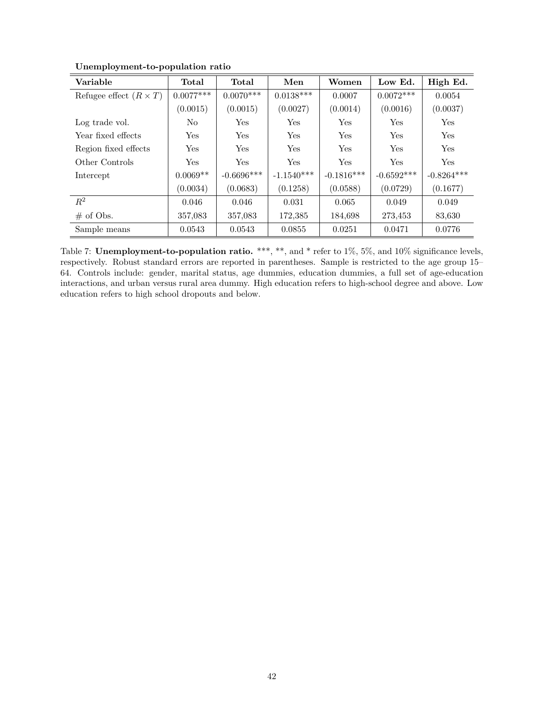| Variable                      | Total          | Total        | Men                  | Women        | Low Ed.      | High Ed.     |
|-------------------------------|----------------|--------------|----------------------|--------------|--------------|--------------|
| Refugee effect $(R \times T)$ | $0.0077***$    | $0.0070***$  | $0.0138***$          | 0.0007       | $0.0072***$  | 0.0054       |
|                               | (0.0015)       | (0.0015)     | (0.0027)             | (0.0014)     | (0.0016)     | (0.0037)     |
| Log trade vol.                | N <sub>0</sub> | Yes          | $\operatorname{Yes}$ | Yes          | Yes          | Yes          |
| Year fixed effects            | <b>Yes</b>     | Yes          | Yes                  | Yes          | <b>Yes</b>   | <b>Yes</b>   |
| Region fixed effects          | Yes            | Yes          | Yes                  | Yes          | <b>Yes</b>   | <b>Yes</b>   |
| Other Controls                | <b>Yes</b>     | Yes          | <b>Yes</b>           | Yes          | <b>Yes</b>   | <b>Yes</b>   |
| Intercept                     | $0.0069**$     | $-0.6696***$ | $-1.1540***$         | $-0.1816***$ | $-0.6592***$ | $-0.8264***$ |
|                               | (0.0034)       | (0.0683)     | (0.1258)             | (0.0588)     | (0.0729)     | (0.1677)     |
| $R^2$                         | 0.046          | 0.046        | 0.031                | 0.065        | 0.049        | 0.049        |
| $\#$ of Obs.                  | 357,083        | 357,083      | 172,385              | 184,698      | 273,453      | 83,630       |
| Sample means                  | 0.0543         | 0.0543       | 0.0855               | 0.0251       | 0.0471       | 0.0776       |

<span id="page-43-0"></span>Unemployment-to-population ratio

Table 7: Unemployment-to-population ratio. \*\*\*, \*\*, and \* refer to 1%, 5%, and 10% significance levels, respectively. Robust standard errors are reported in parentheses. Sample is restricted to the age group 15– 64. Controls include: gender, marital status, age dummies, education dummies, a full set of age-education interactions, and urban versus rural area dummy. High education refers to high-school degree and above. Low education refers to high school dropouts and below.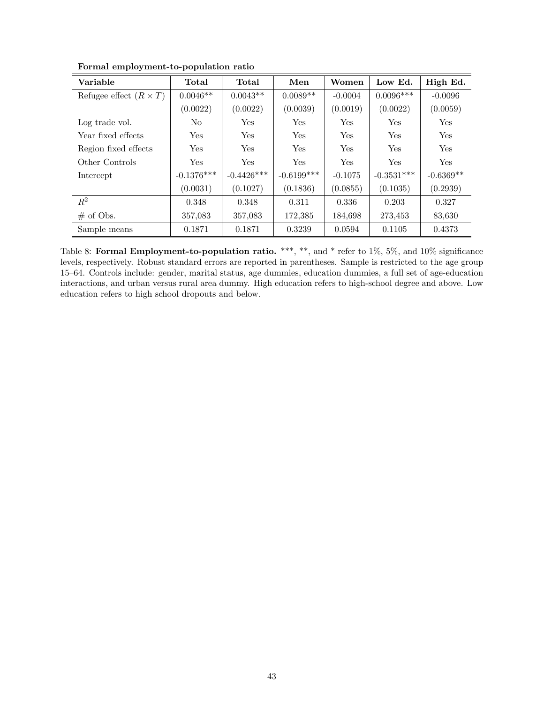| Variable                      | Total          | Total        | Men          | Women      | Low Ed.      | High Ed.    |
|-------------------------------|----------------|--------------|--------------|------------|--------------|-------------|
| Refugee effect $(R \times T)$ | $0.0046**$     | $0.0043**$   | $0.0089**$   | $-0.0004$  | $0.0096***$  | $-0.0096$   |
|                               | (0.0022)       | (0.0022)     | (0.0039)     | (0.0019)   | (0.0022)     | (0.0059)    |
| Log trade vol.                | N <sub>o</sub> | Yes          | <b>Yes</b>   | Yes.       | <b>Yes</b>   | <b>Yes</b>  |
| Year fixed effects            | Yes            | Yes          | <b>Yes</b>   | <b>Yes</b> | Yes          | Yes         |
| Region fixed effects          | Yes            | <b>Yes</b>   | <b>Yes</b>   | Yes        | <b>Yes</b>   | <b>Yes</b>  |
| Other Controls                | Yes            | <b>Yes</b>   | <b>Yes</b>   | <b>Yes</b> | <b>Yes</b>   | <b>Yes</b>  |
| Intercept                     | $-0.1376***$   | $-0.4426***$ | $-0.6199***$ | $-0.1075$  | $-0.3531***$ | $-0.6369**$ |
|                               | (0.0031)       | (0.1027)     | (0.1836)     | (0.0855)   | (0.1035)     | (0.2939)    |
| $R^2$                         | 0.348          | 0.348        | 0.311        | 0.336      | 0.203        | 0.327       |
| $\#$ of Obs.                  | 357,083        | 357,083      | 172,385      | 184,698    | 273,453      | 83,630      |
| Sample means                  | 0.1871         | 0.1871       | 0.3239       | 0.0594     | 0.1105       | 0.4373      |

<span id="page-44-0"></span>Formal employment-to-population ratio

Table 8: Formal Employment-to-population ratio. \*\*\*, \*\*, and \* refer to 1%, 5%, and 10% significance levels, respectively. Robust standard errors are reported in parentheses. Sample is restricted to the age group 15–64. Controls include: gender, marital status, age dummies, education dummies, a full set of age-education interactions, and urban versus rural area dummy. High education refers to high-school degree and above. Low education refers to high school dropouts and below.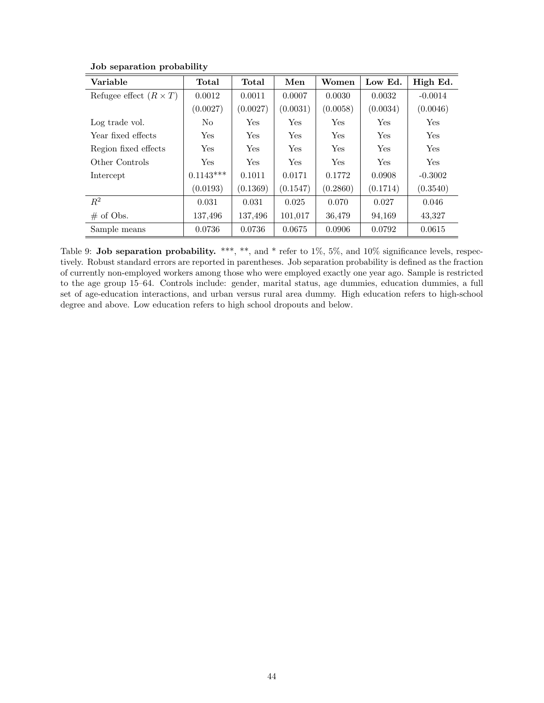| Variable                      | Total       | Total    | Men        | Women      | Low Ed.    | High Ed.  |
|-------------------------------|-------------|----------|------------|------------|------------|-----------|
| Refugee effect $(R \times T)$ | 0.0012      | 0.0011   | 0.0007     | 0.0030     | 0.0032     | $-0.0014$ |
|                               | (0.0027)    | (0.0027) | (0.0031)   | (0.0058)   | (0.0034)   | (0.0046)  |
| Log trade vol.                | No          | Yes      | Yes        | Yes        | <b>Yes</b> | Yes       |
| Year fixed effects            | Yes         | Yes      | Yes        | Yes        | <b>Yes</b> | Yes       |
| Region fixed effects          | Yes         | Yes      | <b>Yes</b> | <b>Yes</b> | <b>Yes</b> | Yes       |
| Other Controls                | <b>Yes</b>  | Yes      | <b>Yes</b> | <b>Yes</b> | <b>Yes</b> | Yes       |
| Intercept                     | $0.1143***$ | 0.1011   | 0.0171     | 0.1772     | 0.0908     | $-0.3002$ |
|                               | (0.0193)    | (0.1369) | (0.1547)   | (0.2860)   | (0.1714)   | (0.3540)  |
| $R^2$                         | 0.031       | 0.031    | 0.025      | 0.070      | 0.027      | 0.046     |
| $\#$ of Obs.                  | 137,496     | 137,496  | 101,017    | 36,479     | 94,169     | 43,327    |
| Sample means                  | 0.0736      | 0.0736   | 0.0675     | 0.0906     | 0.0792     | 0.0615    |

<span id="page-45-0"></span>Job separation probability

Table 9: Job separation probability. \*\*\*, \*\*, and \* refer to 1%, 5%, and 10% significance levels, respectively. Robust standard errors are reported in parentheses. Job separation probability is defined as the fraction of currently non-employed workers among those who were employed exactly one year ago. Sample is restricted to the age group 15–64. Controls include: gender, marital status, age dummies, education dummies, a full set of age-education interactions, and urban versus rural area dummy. High education refers to high-school degree and above. Low education refers to high school dropouts and below.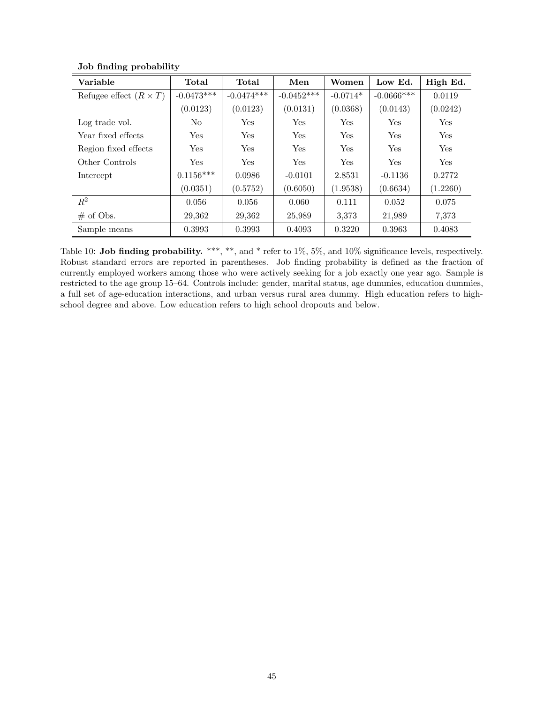| Variable                      | Total        | Total        | Men          | Women      | Low Ed.       | High Ed.   |
|-------------------------------|--------------|--------------|--------------|------------|---------------|------------|
| Refugee effect $(R \times T)$ | $-0.0473***$ | $-0.0474***$ | $-0.0452***$ | $-0.0714*$ | $-0.0666$ *** | 0.0119     |
|                               | (0.0123)     | (0.0123)     | (0.0131)     | (0.0368)   | (0.0143)      | (0.0242)   |
| Log trade vol.                | No           | Yes          | Yes          | Yes        | Yes           | Yes        |
| Year fixed effects            | Yes          | Yes          | Yes          | <b>Yes</b> | <b>Yes</b>    | <b>Yes</b> |
| Region fixed effects          | Yes          | Yes          | Yes          | <b>Yes</b> | <b>Yes</b>    | <b>Yes</b> |
| Other Controls                | Yes          | Yes          | Yes          | <b>Yes</b> | <b>Yes</b>    | <b>Yes</b> |
| Intercept                     | $0.1156***$  | 0.0986       | $-0.0101$    | 2.8531     | $-0.1136$     | 0.2772     |
|                               | (0.0351)     | (0.5752)     | (0.6050)     | (1.9538)   | (0.6634)      | (1.2260)   |
| $\mathbb{R}^2$                | 0.056        | 0.056        | 0.060        | 0.111      | 0.052         | 0.075      |
| $\#$ of Obs.                  | 29,362       | 29,362       | 25,989       | 3,373      | 21,989        | 7,373      |
| Sample means                  | 0.3993       | 0.3993       | 0.4093       | 0.3220     | 0.3963        | 0.4083     |

<span id="page-46-0"></span>Job finding probability

Table 10: **Job finding probability.** \*\*\*, \*\*, and \* refer to 1%, 5%, and 10% significance levels, respectively. Robust standard errors are reported in parentheses. Job finding probability is defined as the fraction of currently employed workers among those who were actively seeking for a job exactly one year ago. Sample is restricted to the age group 15–64. Controls include: gender, marital status, age dummies, education dummies, a full set of age-education interactions, and urban versus rural area dummy. High education refers to highschool degree and above. Low education refers to high school dropouts and below.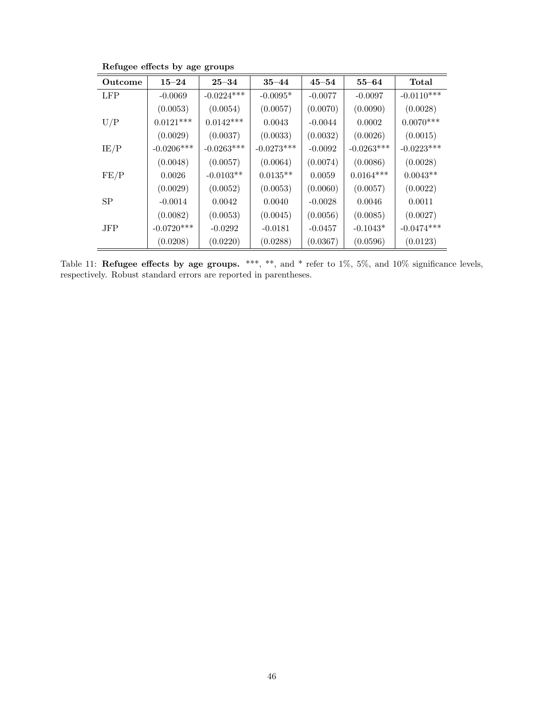| Outcome | $15 - 24$    | $25 - 34$    | $35 - 44$    | $45 - 54$ | $55\hbox{--}64$ | Total        |
|---------|--------------|--------------|--------------|-----------|-----------------|--------------|
| LFP     | $-0.0069$    | $-0.0224***$ | $-0.0095*$   | $-0.0077$ | $-0.0097$       | $-0.0110***$ |
|         | (0.0053)     | (0.0054)     | (0.0057)     | (0.0070)  | (0.0090)        | (0.0028)     |
| U/P     | $0.0121***$  | $0.0142***$  | 0.0043       | $-0.0044$ | 0.0002          | $0.0070***$  |
|         | (0.0029)     | (0.0037)     | (0.0033)     | (0.0032)  | (0.0026)        | (0.0015)     |
| IE/P    | $-0.0206***$ | $-0.0263***$ | $-0.0273***$ | $-0.0092$ | $-0.0263***$    | $-0.0223***$ |
|         | (0.0048)     | (0.0057)     | (0.0064)     | (0.0074)  | (0.0086)        | (0.0028)     |
| FE/P    | 0.0026       | $-0.0103**$  | $0.0135**$   | 0.0059    | $0.0164***$     | $0.0043**$   |
|         | (0.0029)     | (0.0052)     | (0.0053)     | (0.0060)  | (0.0057)        | (0.0022)     |
| SP      | $-0.0014$    | 0.0042       | 0.0040       | $-0.0028$ | 0.0046          | 0.0011       |
|         | (0.0082)     | (0.0053)     | (0.0045)     | (0.0056)  | (0.0085)        | (0.0027)     |
| JFP     | $-0.0720***$ | $-0.0292$    | $-0.0181$    | $-0.0457$ | $-0.1043*$      | $-0.0474***$ |
|         | (0.0208)     | (0.0220)     | (0.0288)     | (0.0367)  | (0.0596)        | (0.0123)     |

<span id="page-47-0"></span>Refugee effects by age groups

Table 11: Refugee effects by age groups. \*\*, \*\*, and \* refer to  $1\%$ ,  $5\%$ , and  $10\%$  significance levels, respectively. Robust standard errors are reported in parentheses.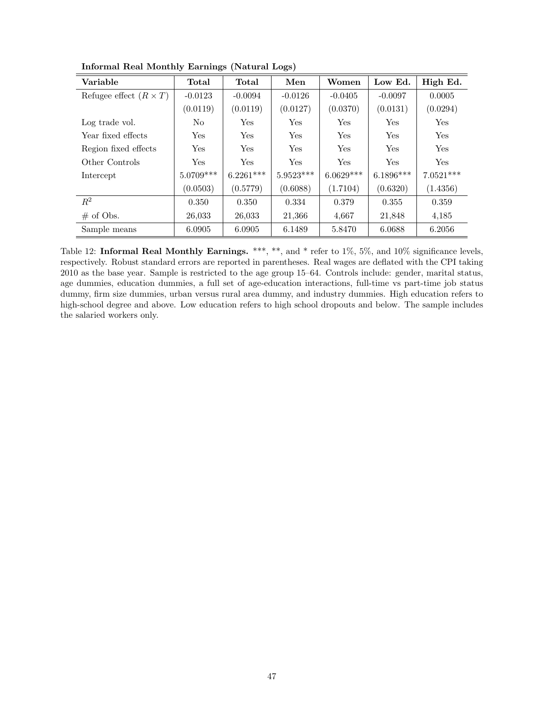| Variable                      | Total       | Total       | Men         | Women       | Low Ed.     | High Ed.    |
|-------------------------------|-------------|-------------|-------------|-------------|-------------|-------------|
| Refugee effect $(R \times T)$ | $-0.0123$   | $-0.0094$   | $-0.0126$   | $-0.0405$   | $-0.0097$   | 0.0005      |
|                               | (0.0119)    | (0.0119)    | (0.0127)    | (0.0370)    | (0.0131)    | (0.0294)    |
| Log trade vol.                | No          | <b>Yes</b>  | Yes         | Yes         | <b>Yes</b>  | <b>Yes</b>  |
| Year fixed effects            | <b>Yes</b>  | <b>Yes</b>  | <b>Yes</b>  | Yes         | <b>Yes</b>  | <b>Yes</b>  |
| Region fixed effects          | <b>Yes</b>  | <b>Yes</b>  | <b>Yes</b>  | <b>Yes</b>  | Yes         | <b>Yes</b>  |
| Other Controls                | <b>Yes</b>  | <b>Yes</b>  | <b>Yes</b>  | Yes         | Yes         | <b>Yes</b>  |
| Intercept                     | $5.0709***$ | $6.2261***$ | $5.9523***$ | $6.0629***$ | $6.1896***$ | $7.0521***$ |
|                               | (0.0503)    | (0.5779)    | (0.6088)    | (1.7104)    | (0.6320)    | (1.4356)    |
| $R^2$                         | 0.350       | 0.350       | 0.334       | 0.379       | 0.355       | 0.359       |
| $\#$ of Obs.                  | 26,033      | 26,033      | 21,366      | 4,667       | 21,848      | 4,185       |
| Sample means                  | 6.0905      | 6.0905      | 6.1489      | 5.8470      | 6.0688      | 6.2056      |

<span id="page-48-0"></span>Informal Real Monthly Earnings (Natural Logs)

Table 12: Informal Real Monthly Earnings. \*\*\*, \*\*, and \* refer to 1%, 5%, and 10% significance levels, respectively. Robust standard errors are reported in parentheses. Real wages are deflated with the CPI taking 2010 as the base year. Sample is restricted to the age group 15–64. Controls include: gender, marital status, age dummies, education dummies, a full set of age-education interactions, full-time vs part-time job status dummy, firm size dummies, urban versus rural area dummy, and industry dummies. High education refers to high-school degree and above. Low education refers to high school dropouts and below. The sample includes the salaried workers only.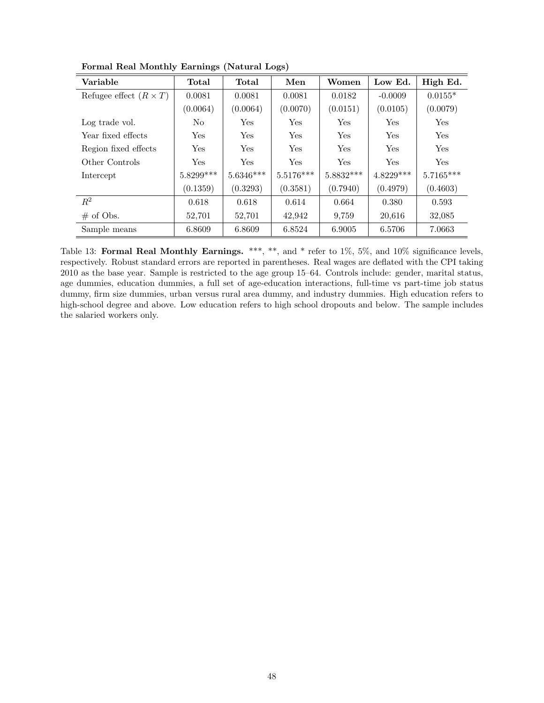| Variable                      | Total       | Total       | Men         | Women       | Low Ed.     | High Ed.    |
|-------------------------------|-------------|-------------|-------------|-------------|-------------|-------------|
| Refugee effect $(R \times T)$ | 0.0081      | 0.0081      | 0.0081      | 0.0182      | $-0.0009$   | $0.0155*$   |
|                               | (0.0064)    | (0.0064)    | (0.0070)    | (0.0151)    | (0.0105)    | (0.0079)    |
| Log trade vol.                | No          | Yes         | <b>Yes</b>  | Yes         | Yes         | <b>Yes</b>  |
| Year fixed effects            | <b>Yes</b>  | Yes         | <b>Yes</b>  | Yes         | Yes         | <b>Yes</b>  |
| Region fixed effects          | <b>Yes</b>  | Yes         | <b>Yes</b>  | <b>Yes</b>  | Yes         | <b>Yes</b>  |
| Other Controls                | Yes.        | <b>Yes</b>  | <b>Yes</b>  | Yes         | Yes         | <b>Yes</b>  |
| Intercept                     | $5.8299***$ | $5.6346***$ | $5.5176***$ | $5.8832***$ | $4.8229***$ | $5.7165***$ |
|                               | (0.1359)    | (0.3293)    | (0.3581)    | (0.7940)    | (0.4979)    | (0.4603)    |
| $R^2$                         | 0.618       | 0.618       | 0.614       | 0.664       | 0.380       | 0.593       |
| $\#$ of Obs.                  | 52,701      | 52,701      | 42,942      | 9,759       | 20,616      | 32,085      |
| Sample means                  | 6.8609      | 6.8609      | 6.8524      | 6.9005      | 6.5706      | 7.0663      |

<span id="page-49-0"></span>Formal Real Monthly Earnings (Natural Logs)

Table 13: Formal Real Monthly Earnings. \*\*\*, \*\*, and \* refer to 1%, 5%, and 10% significance levels, respectively. Robust standard errors are reported in parentheses. Real wages are deflated with the CPI taking 2010 as the base year. Sample is restricted to the age group 15–64. Controls include: gender, marital status, age dummies, education dummies, a full set of age-education interactions, full-time vs part-time job status dummy, firm size dummies, urban versus rural area dummy, and industry dummies. High education refers to high-school degree and above. Low education refers to high school dropouts and below. The sample includes the salaried workers only.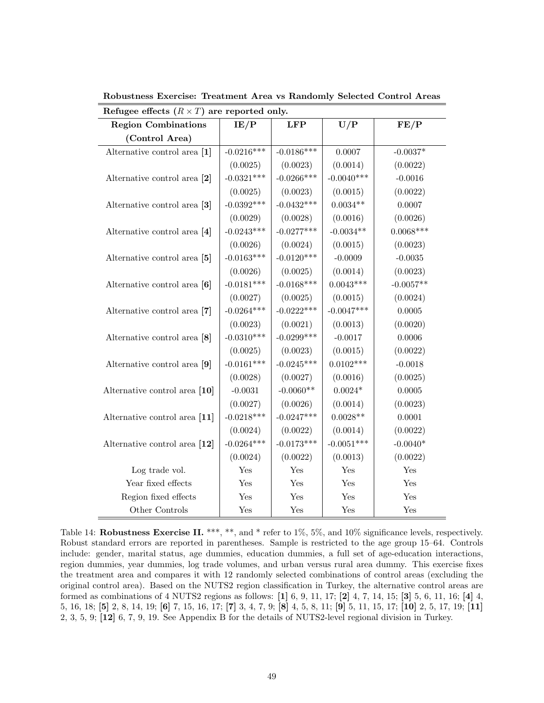| Relagee effects $(n \times 1)$ are reported only.<br><b>Region Combinations</b> | IE/P         | <b>LFP</b>   | U/P          | FE/P        |
|---------------------------------------------------------------------------------|--------------|--------------|--------------|-------------|
| (Control Area)                                                                  |              |              |              |             |
| Alternative control area [1]                                                    | $-0.0216***$ | $-0.0186***$ | 0.0007       | $-0.0037*$  |
|                                                                                 | (0.0025)     | (0.0023)     | (0.0014)     | (0.0022)    |
| Alternative control area [2]                                                    | $-0.0321***$ | $-0.0266***$ | $-0.0040***$ | $-0.0016$   |
|                                                                                 | (0.0025)     | (0.0023)     | (0.0015)     | (0.0022)    |
| Alternative control area [3]                                                    | $-0.0392***$ | $-0.0432***$ | $0.0034**$   | 0.0007      |
|                                                                                 | (0.0029)     | (0.0028)     | (0.0016)     | (0.0026)    |
| Alternative control area [4]                                                    | $-0.0243***$ | $-0.0277***$ | $-0.0034**$  | $0.0068***$ |
|                                                                                 | (0.0026)     | (0.0024)     | (0.0015)     | (0.0023)    |
| Alternative control area [5]                                                    | $-0.0163***$ | $-0.0120***$ | $-0.0009$    | $-0.0035$   |
|                                                                                 | (0.0026)     | (0.0025)     | (0.0014)     | (0.0023)    |
| Alternative control area [6]                                                    | $-0.0181***$ | $-0.0168***$ | $0.0043***$  | $-0.0057**$ |
|                                                                                 | (0.0027)     | (0.0025)     | (0.0015)     | (0.0024)    |
| Alternative control area [7]                                                    | $-0.0264***$ | $-0.0222***$ | $-0.0047***$ | 0.0005      |
|                                                                                 | (0.0023)     | (0.0021)     | (0.0013)     | (0.0020)    |
| Alternative control area [8]                                                    | $-0.0310***$ | $-0.0299***$ | $-0.0017$    | 0.0006      |
|                                                                                 | (0.0025)     | (0.0023)     | (0.0015)     | (0.0022)    |
| Alternative control area [9]                                                    | $-0.0161***$ | $-0.0245***$ | $0.0102***$  | $-0.0018$   |
|                                                                                 | (0.0028)     | (0.0027)     | (0.0016)     | (0.0025)    |
| Alternative control area [10]                                                   | $-0.0031$    | $-0.0060**$  | $0.0024*$    | 0.0005      |
|                                                                                 | (0.0027)     | (0.0026)     | (0.0014)     | (0.0023)    |
| Alternative control area [11]                                                   | $-0.0218***$ | $-0.0247***$ | $0.0028**$   | 0.0001      |
|                                                                                 | (0.0024)     | (0.0022)     | (0.0014)     | (0.0022)    |
| Alternative control area [12]                                                   | $-0.0264***$ | $-0.0173***$ | $-0.0051***$ | $-0.0040*$  |
|                                                                                 | (0.0024)     | (0.0022)     | (0.0013)     | (0.0022)    |
| Log trade vol.                                                                  | Yes          | Yes          | Yes          | Yes         |
| Year fixed effects                                                              | Yes          | Yes          | Yes          | Yes         |
| Region fixed effects                                                            | Yes          | Yes          | Yes          | Yes         |
| Other Controls                                                                  | Yes          | Yes          | Yes          | Yes         |

<span id="page-50-0"></span>Robustness Exercise: Treatment Area vs Randomly Selected Control Areas

Refugee effects  $(R \times T)$  are reported only.

Table 14: Robustness Exercise II. \*\*\*, \*\*, and \* refer to 1%, 5%, and 10% significance levels, respectively. Robust standard errors are reported in parentheses. Sample is restricted to the age group 15–64. Controls include: gender, marital status, age dummies, education dummies, a full set of age-education interactions, region dummies, year dummies, log trade volumes, and urban versus rural area dummy. This exercise fixes the treatment area and compares it with 12 randomly selected combinations of control areas (excluding the original control area). Based on the NUTS2 region classification in Turkey, the alternative control areas are formed as combinations of 4 NUTS2 regions as follows: [1] 6, 9, 11, 17; [2] 4, 7, 14, 15; [3] 5, 6, 11, 16; [4] 4, 5, 16, 18; [5] 2, 8, 14, 19; [6] 7, 15, 16, 17; [7] 3, 4, 7, 9; [8] 4, 5, 8, 11; [9] 5, 11, 15, 17; [10] 2, 5, 17, 19; [11] 2, 3, 5, 9; [12] 6, 7, 9, 19. See Appendix B for the details of NUTS2-level regional division in Turkey.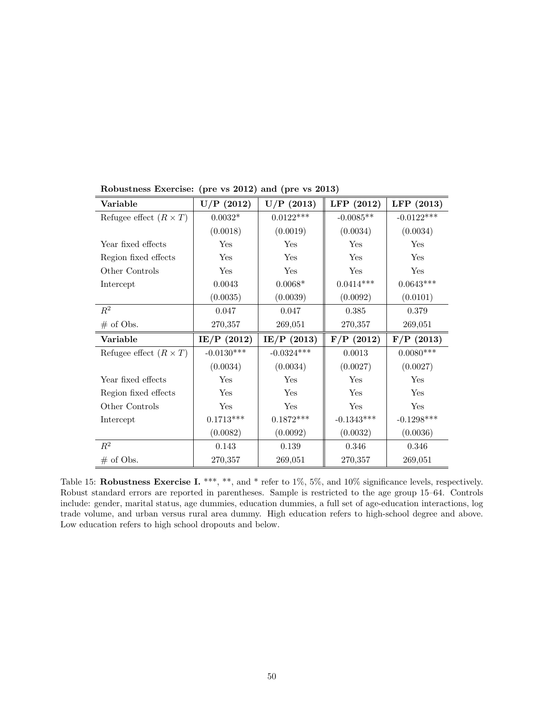| Variable                      | U/P(2012)    | U/P(2013)    | LFP (2012)   | LFP (2013)   |
|-------------------------------|--------------|--------------|--------------|--------------|
| Refugee effect $(R \times T)$ | $0.0032*$    | $0.0122***$  | $-0.0085**$  | $-0.0122***$ |
|                               | (0.0018)     | (0.0019)     | (0.0034)     | (0.0034)     |
| Year fixed effects            | Yes          | Yes          | Yes          | Yes          |
| Region fixed effects          | Yes          | Yes          | Yes          | Yes          |
| Other Controls                | Yes          | Yes          | Yes          | Yes          |
| Intercept                     | 0.0043       | $0.0068*$    | $0.0414***$  | $0.0643***$  |
|                               | (0.0035)     | (0.0039)     | (0.0092)     | (0.0101)     |
| $R^2$                         | 0.047        | 0.047        | 0.385        | 0.379        |
| $#$ of Obs.                   | 270,357      | 269,051      | 270,357      | 269,051      |
|                               |              |              |              |              |
| Variable                      | IE/P(2012)   | IE/P(2013)   | F/P(2012)    | F/P(2013)    |
| Refugee effect $(R \times T)$ | $-0.0130***$ | $-0.0324***$ | 0.0013       | $0.0080***$  |
|                               | (0.0034)     | (0.0034)     | (0.0027)     | (0.0027)     |
| Year fixed effects            | Yes          | Yes          | Yes          | Yes          |
| Region fixed effects          | Yes          | Yes          | Yes          | Yes          |
| Other Controls                | Yes          | Yes          | Yes          | Yes          |
| Intercept                     | $0.1713***$  | $0.1872***$  | $-0.1343***$ | $-0.1298***$ |
|                               | (0.0082)     | (0.0092)     | (0.0032)     | (0.0036)     |
| $R^2$                         | 0.143        | 0.139        | 0.346        | 0.346        |

<span id="page-51-0"></span>Robustness Exercise: (pre vs 2012) and (pre vs 2013)

Table 15: Robustness Exercise I. \*\*\*, \*\*, and \* refer to 1%, 5%, and 10% significance levels, respectively. Robust standard errors are reported in parentheses. Sample is restricted to the age group 15–64. Controls include: gender, marital status, age dummies, education dummies, a full set of age-education interactions, log trade volume, and urban versus rural area dummy. High education refers to high-school degree and above. Low education refers to high school dropouts and below.